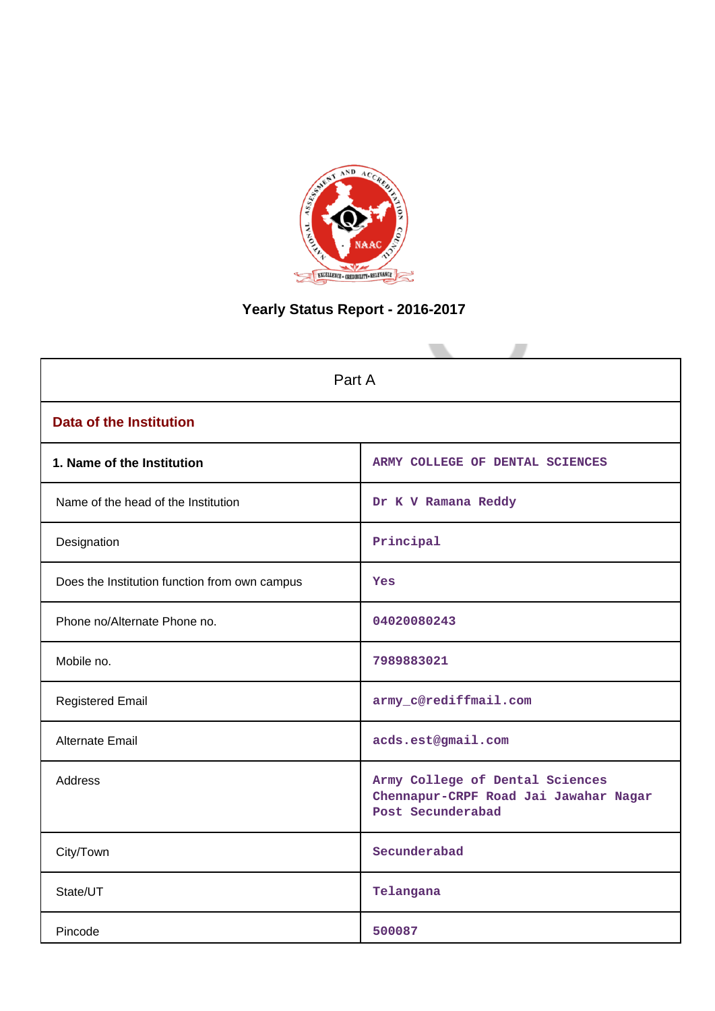

# **Yearly Status Report - 2016-2017**

| Part A                                        |                                                                                               |  |  |  |  |
|-----------------------------------------------|-----------------------------------------------------------------------------------------------|--|--|--|--|
| <b>Data of the Institution</b>                |                                                                                               |  |  |  |  |
| 1. Name of the Institution                    | ARMY COLLEGE OF DENTAL SCIENCES                                                               |  |  |  |  |
| Name of the head of the Institution           | Dr K V Ramana Reddy                                                                           |  |  |  |  |
| Designation                                   | Principal                                                                                     |  |  |  |  |
| Does the Institution function from own campus | Yes                                                                                           |  |  |  |  |
| Phone no/Alternate Phone no.                  | 04020080243                                                                                   |  |  |  |  |
| Mobile no.                                    | 7989883021                                                                                    |  |  |  |  |
| <b>Registered Email</b>                       | army_c@rediffmail.com                                                                         |  |  |  |  |
| Alternate Email                               | acds.est@gmail.com                                                                            |  |  |  |  |
| <b>Address</b>                                | Army College of Dental Sciences<br>Chennapur-CRPF Road Jai Jawahar Nagar<br>Post Secunderabad |  |  |  |  |
| City/Town                                     | Secunderabad                                                                                  |  |  |  |  |
| State/UT                                      | Telangana                                                                                     |  |  |  |  |
| Pincode                                       | 500087                                                                                        |  |  |  |  |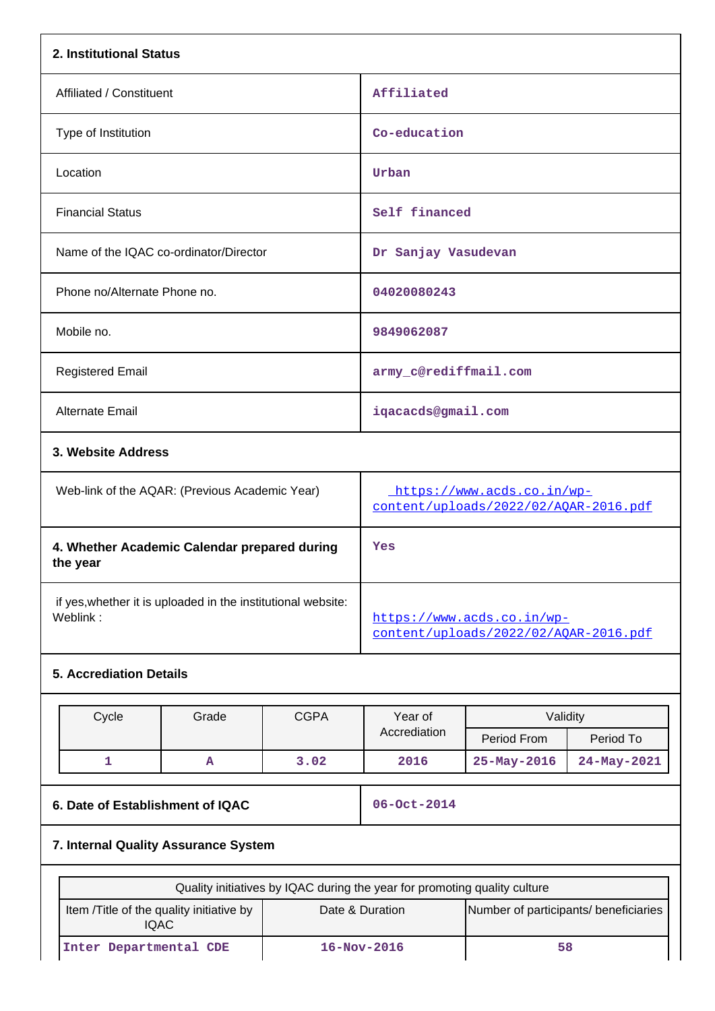| 2. Institutional Status                                                  |       |             |                                                                           |                         |             |  |  |
|--------------------------------------------------------------------------|-------|-------------|---------------------------------------------------------------------------|-------------------------|-------------|--|--|
| Affiliated / Constituent                                                 |       |             | Affiliated                                                                |                         |             |  |  |
| Type of Institution                                                      |       |             | Co-education                                                              |                         |             |  |  |
| Location                                                                 |       |             | Urban                                                                     |                         |             |  |  |
| <b>Financial Status</b>                                                  |       |             | Self financed                                                             |                         |             |  |  |
| Name of the IQAC co-ordinator/Director                                   |       |             | Dr Sanjay Vasudevan                                                       |                         |             |  |  |
| Phone no/Alternate Phone no.                                             |       |             | 04020080243                                                               |                         |             |  |  |
| Mobile no.                                                               |       |             | 9849062087                                                                |                         |             |  |  |
| <b>Registered Email</b>                                                  |       |             |                                                                           | army_c@rediffmail.com   |             |  |  |
| <b>Alternate Email</b>                                                   |       |             | iqacacds@gmail.com                                                        |                         |             |  |  |
| 3. Website Address                                                       |       |             |                                                                           |                         |             |  |  |
| Web-link of the AQAR: (Previous Academic Year)                           |       |             | https://www.acds.co.in/wp-<br>content/uploads/2022/02/AQAR-2016.pdf       |                         |             |  |  |
| 4. Whether Academic Calendar prepared during<br>the year                 |       |             | Yes                                                                       |                         |             |  |  |
| if yes, whether it is uploaded in the institutional website:<br>Weblink: |       |             | https://www.acds.co.in/wp-<br>content/uploads/2022/02/AQAR-2016.pdf       |                         |             |  |  |
| <b>5. Accrediation Details</b>                                           |       |             |                                                                           |                         |             |  |  |
| Cycle                                                                    | Grade | <b>CGPA</b> | Year of<br>Accrediation                                                   | Validity<br>Period From | Period To   |  |  |
| 1                                                                        | A     | 3.02        | 2016                                                                      | 25-May-2016             | 24-May-2021 |  |  |
| 6. Date of Establishment of IQAC                                         |       |             | 06-Oct-2014                                                               |                         |             |  |  |
| 7. Internal Quality Assurance System                                     |       |             |                                                                           |                         |             |  |  |
|                                                                          |       |             | Quality initiatives by IQAC during the year for promoting quality culture |                         |             |  |  |
| Item /Title of the quality initiative by<br><b>IQAC</b>                  |       |             | Date & Duration<br>Number of participants/ beneficiaries                  |                         |             |  |  |
| Inter Departmental CDE                                                   |       |             | 16-Nov-2016<br>58                                                         |                         |             |  |  |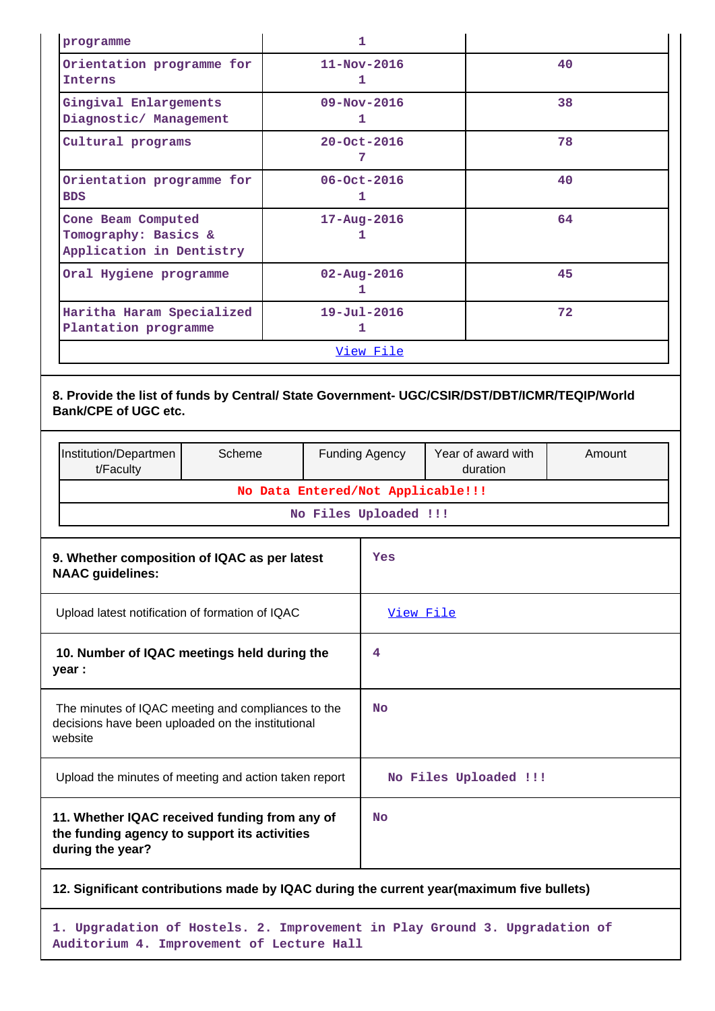| programme                                                              | 1                        |    |  |  |  |
|------------------------------------------------------------------------|--------------------------|----|--|--|--|
| Orientation programme for<br><b>Interns</b>                            | $11 - Nov - 2016$<br>1   | 40 |  |  |  |
| Gingival Enlargements<br>Diagnostic/ Management                        | $09 - Nov - 2016$<br>ı   | 38 |  |  |  |
| Cultural programs                                                      | $20 - Oct - 2016$<br>7   | 78 |  |  |  |
| Orientation programme for<br><b>BDS</b>                                | 06-Oct-2016<br>ı         | 40 |  |  |  |
| Cone Beam Computed<br>Tomography: Basics &<br>Application in Dentistry | $17 - \text{Aug} - 2016$ | 64 |  |  |  |
| Oral Hygiene programme                                                 | $02 - Aug - 2016$<br>ı   | 45 |  |  |  |
| Haritha Haram Specialized<br>Plantation programme                      | $19 - Ju1 - 2016$<br>1   | 72 |  |  |  |
| View File                                                              |                          |    |  |  |  |

# **8. Provide the list of funds by Central/ State Government- UGC/CSIR/DST/DBT/ICMR/TEQIP/World Bank/CPE of UGC etc.**

|                                                                                                                   | Institution/Departmen<br>t/Faculty                                                                                 | Scheme |  | <b>Funding Agency</b> | Year of award with<br>duration | Amount |  |  |  |
|-------------------------------------------------------------------------------------------------------------------|--------------------------------------------------------------------------------------------------------------------|--------|--|-----------------------|--------------------------------|--------|--|--|--|
|                                                                                                                   | No Data Entered/Not Applicable!!!                                                                                  |        |  |                       |                                |        |  |  |  |
|                                                                                                                   |                                                                                                                    |        |  | No Files Uploaded !!! |                                |        |  |  |  |
|                                                                                                                   | 9. Whether composition of IQAC as per latest<br><b>NAAC</b> guidelines:                                            |        |  | Yes                   |                                |        |  |  |  |
| Upload latest notification of formation of IQAC                                                                   |                                                                                                                    |        |  | View File             |                                |        |  |  |  |
| 10. Number of IQAC meetings held during the<br>year :                                                             |                                                                                                                    |        |  | 4                     |                                |        |  |  |  |
|                                                                                                                   | The minutes of IQAC meeting and compliances to the<br>decisions have been uploaded on the institutional<br>website |        |  |                       |                                |        |  |  |  |
|                                                                                                                   | Upload the minutes of meeting and action taken report                                                              |        |  |                       | No Files Uploaded !!!          |        |  |  |  |
| 11. Whether IQAC received funding from any of<br>the funding agency to support its activities<br>during the year? |                                                                                                                    |        |  | No                    |                                |        |  |  |  |
|                                                                                                                   | 12. Significant contributions made by IQAC during the current year (maximum five bullets)                          |        |  |                       |                                |        |  |  |  |
|                                                                                                                   |                                                                                                                    |        |  |                       |                                |        |  |  |  |

**1. Upgradation of Hostels. 2. Improvement in Play Ground 3. Upgradation of Auditorium 4. Improvement of Lecture Hall**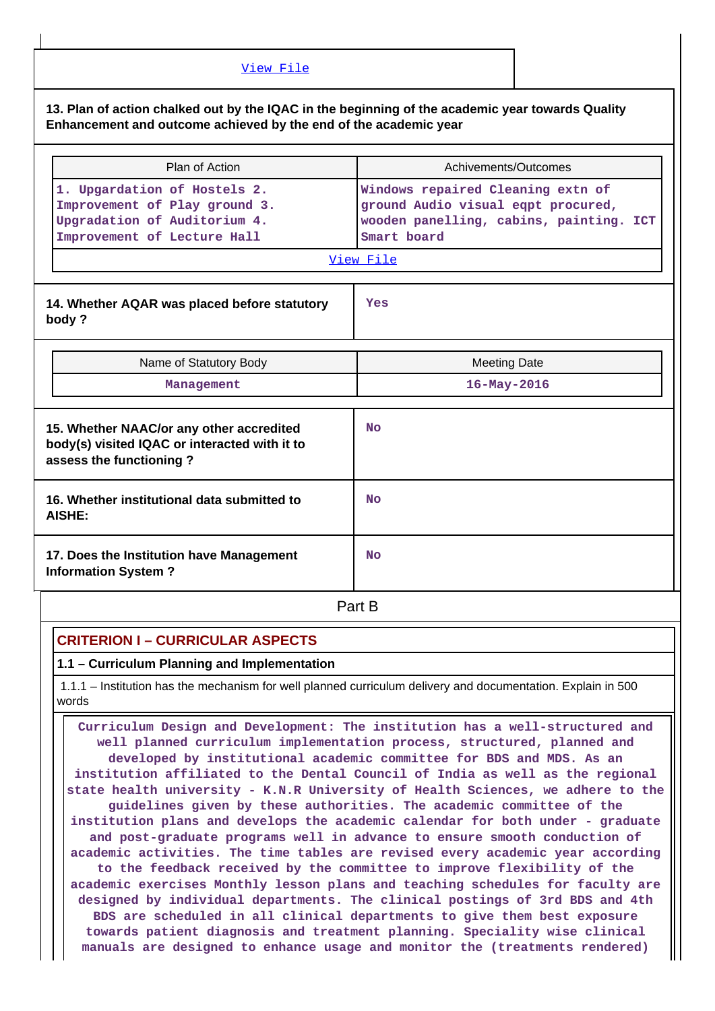| View File                                                                                                                                                            |                                                                                                                                   |  |  |  |  |  |  |
|----------------------------------------------------------------------------------------------------------------------------------------------------------------------|-----------------------------------------------------------------------------------------------------------------------------------|--|--|--|--|--|--|
| 13. Plan of action chalked out by the IQAC in the beginning of the academic year towards Quality<br>Enhancement and outcome achieved by the end of the academic year |                                                                                                                                   |  |  |  |  |  |  |
| Plan of Action                                                                                                                                                       | Achivements/Outcomes                                                                                                              |  |  |  |  |  |  |
| 1. Upgardation of Hostels 2.<br>Improvement of Play ground 3.<br>Upgradation of Auditorium 4.<br>Improvement of Lecture Hall                                         | Windows repaired Cleaning extn of<br>ground Audio visual eqpt procured,<br>wooden panelling, cabins, painting. ICT<br>Smart board |  |  |  |  |  |  |
|                                                                                                                                                                      | View File                                                                                                                         |  |  |  |  |  |  |
| 14. Whether AQAR was placed before statutory<br>body?                                                                                                                | Yes                                                                                                                               |  |  |  |  |  |  |
| Name of Statutory Body                                                                                                                                               | <b>Meeting Date</b>                                                                                                               |  |  |  |  |  |  |
| Management                                                                                                                                                           | $16 - May - 2016$                                                                                                                 |  |  |  |  |  |  |
| 15. Whether NAAC/or any other accredited<br>body(s) visited IQAC or interacted with it to<br>assess the functioning?                                                 | <b>No</b>                                                                                                                         |  |  |  |  |  |  |
| 16. Whether institutional data submitted to<br>AISHE:                                                                                                                | <b>No</b>                                                                                                                         |  |  |  |  |  |  |
| 17. Does the Institution have Management<br><b>Information System?</b>                                                                                               | <b>No</b>                                                                                                                         |  |  |  |  |  |  |

**Part B** 

# **CRITERION I – CURRICULAR ASPECTS**

### **1.1 – Curriculum Planning and Implementation**

 1.1.1 – Institution has the mechanism for well planned curriculum delivery and documentation. Explain in 500 words

 **Curriculum Design and Development: The institution has a well-structured and well planned curriculum implementation process, structured, planned and developed by institutional academic committee for BDS and MDS. As an institution affiliated to the Dental Council of India as well as the regional state health university - K.N.R University of Health Sciences, we adhere to the guidelines given by these authorities. The academic committee of the institution plans and develops the academic calendar for both under - graduate and post-graduate programs well in advance to ensure smooth conduction of academic activities. The time tables are revised every academic year according to the feedback received by the committee to improve flexibility of the academic exercises Monthly lesson plans and teaching schedules for faculty are designed by individual departments. The clinical postings of 3rd BDS and 4th BDS are scheduled in all clinical departments to give them best exposure towards patient diagnosis and treatment planning. Speciality wise clinical manuals are designed to enhance usage and monitor the (treatments rendered)**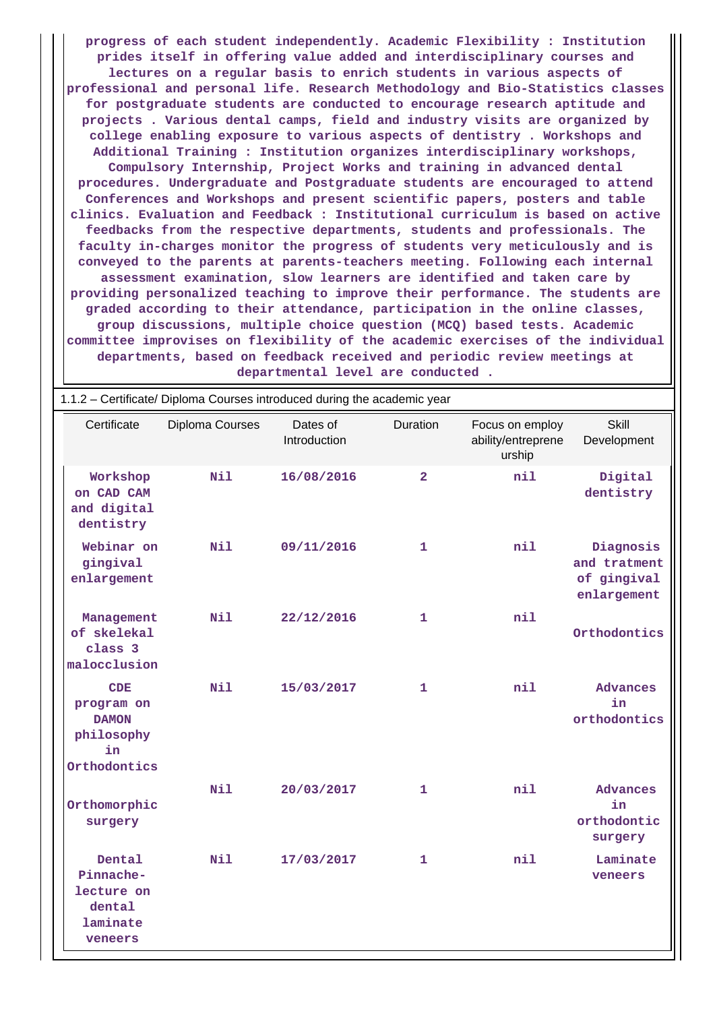**progress of each student independently. Academic Flexibility : Institution prides itself in offering value added and interdisciplinary courses and lectures on a regular basis to enrich students in various aspects of professional and personal life. Research Methodology and Bio-Statistics classes for postgraduate students are conducted to encourage research aptitude and projects . Various dental camps, field and industry visits are organized by college enabling exposure to various aspects of dentistry . Workshops and Additional Training : Institution organizes interdisciplinary workshops, Compulsory Internship, Project Works and training in advanced dental procedures. Undergraduate and Postgraduate students are encouraged to attend Conferences and Workshops and present scientific papers, posters and table clinics. Evaluation and Feedback : Institutional curriculum is based on active feedbacks from the respective departments, students and professionals. The faculty in-charges monitor the progress of students very meticulously and is conveyed to the parents at parents-teachers meeting. Following each internal assessment examination, slow learners are identified and taken care by providing personalized teaching to improve their performance. The students are graded according to their attendance, participation in the online classes, group discussions, multiple choice question (MCQ) based tests. Academic committee improvises on flexibility of the academic exercises of the individual departments, based on feedback received and periodic review meetings at**

| 1.1.2 – Certificate/ Diploma Courses introduced during the academic year |                 |                          |                 |                                                 |                                                         |  |  |  |
|--------------------------------------------------------------------------|-----------------|--------------------------|-----------------|-------------------------------------------------|---------------------------------------------------------|--|--|--|
| Certificate                                                              | Diploma Courses | Dates of<br>Introduction | <b>Duration</b> | Focus on employ<br>ability/entreprene<br>urship | Skill<br>Development                                    |  |  |  |
| Workshop<br>on CAD CAM<br>and digital<br>dentistry                       | Nil             | 16/08/2016               | $\overline{2}$  | nil                                             | Digital<br>dentistry                                    |  |  |  |
| Webinar on<br>gingival<br>enlargement                                    | Nil             | 09/11/2016               | 1               | nil                                             | Diagnosis<br>and tratment<br>of gingival<br>enlargement |  |  |  |
| Management<br>of skelekal<br>class 3<br>malocclusion                     | Nil             | 22/12/2016               | $\mathbf{1}$    | nil                                             | Orthodontics                                            |  |  |  |
| CDE<br>program on<br><b>DAMON</b><br>philosophy<br>in<br>Orthodontics    | <b>Nil</b>      | 15/03/2017               | $\mathbf{1}$    | nil                                             | <b>Advances</b><br>in<br>orthodontics                   |  |  |  |
| Orthomorphic<br>surgery                                                  | Nil             | 20/03/2017               | 1               | nil                                             | Advances<br>in<br>orthodontic<br>surgery                |  |  |  |
| Dental<br>Pinnache-<br>lecture on<br>dental<br>laminate<br>veneers       | <b>Nil</b>      | 17/03/2017               | 1               | nil                                             | Laminate<br>veneers                                     |  |  |  |

**departmental level are conducted .**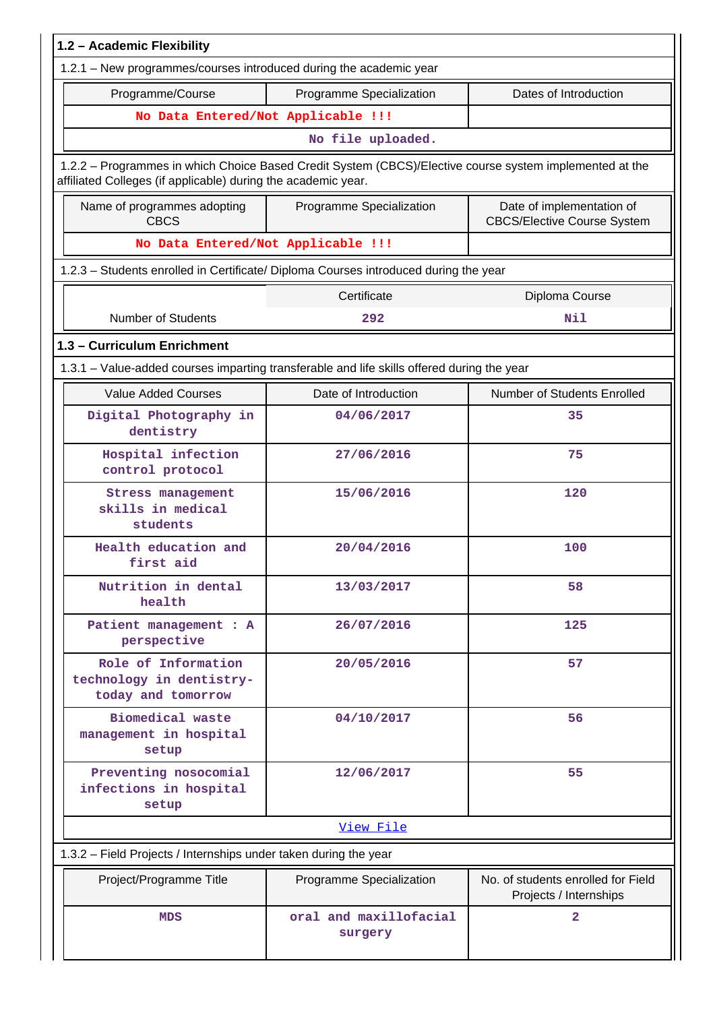| 1.2 - Academic Flexibility                                                                 |                                                                                                         |                                                                 |
|--------------------------------------------------------------------------------------------|---------------------------------------------------------------------------------------------------------|-----------------------------------------------------------------|
| 1.2.1 - New programmes/courses introduced during the academic year                         |                                                                                                         |                                                                 |
| Programme/Course                                                                           | Programme Specialization                                                                                | Dates of Introduction                                           |
| No Data Entered/Not Applicable !!!                                                         |                                                                                                         |                                                                 |
|                                                                                            | No file uploaded.                                                                                       |                                                                 |
| affiliated Colleges (if applicable) during the academic year.                              | 1.2.2 - Programmes in which Choice Based Credit System (CBCS)/Elective course system implemented at the |                                                                 |
| Name of programmes adopting<br><b>CBCS</b>                                                 | Programme Specialization                                                                                | Date of implementation of<br><b>CBCS/Elective Course System</b> |
| No Data Entered/Not Applicable !!!                                                         |                                                                                                         |                                                                 |
|                                                                                            | 1.2.3 - Students enrolled in Certificate/ Diploma Courses introduced during the year                    |                                                                 |
|                                                                                            | Certificate                                                                                             | Diploma Course                                                  |
| <b>Number of Students</b>                                                                  | 292                                                                                                     | Nil                                                             |
| 1.3 - Curriculum Enrichment                                                                |                                                                                                         |                                                                 |
| 1.3.1 - Value-added courses imparting transferable and life skills offered during the year |                                                                                                         |                                                                 |
| <b>Value Added Courses</b>                                                                 | Date of Introduction                                                                                    | Number of Students Enrolled                                     |
| Digital Photography in<br>dentistry                                                        | 04/06/2017                                                                                              | 35                                                              |
| Hospital infection<br>control protocol                                                     | 27/06/2016                                                                                              | 75                                                              |
| <b>Stress management</b><br>skills in medical<br>students                                  | 15/06/2016                                                                                              | 120                                                             |
| Health education and<br>first aid                                                          | 20/04/2016                                                                                              | 100                                                             |
| Nutrition in dental<br>health                                                              | 13/03/2017                                                                                              | 58                                                              |
| Patient management : A<br>perspective                                                      | 26/07/2016                                                                                              | 125                                                             |
| Role of Information<br>technology in dentistry-<br>today and tomorrow                      | 20/05/2016                                                                                              | 57                                                              |
| Biomedical waste<br>management in hospital<br>setup                                        | 04/10/2017                                                                                              | 56                                                              |
| Preventing nosocomial<br>infections in hospital<br>setup                                   | 12/06/2017                                                                                              | 55                                                              |
|                                                                                            | View File                                                                                               |                                                                 |
| 1.3.2 - Field Projects / Internships under taken during the year                           |                                                                                                         |                                                                 |
| Project/Programme Title                                                                    | Programme Specialization                                                                                | No. of students enrolled for Field<br>Projects / Internships    |
| MDS                                                                                        | oral and maxillofacial<br>surgery                                                                       | $\overline{\mathbf{2}}$                                         |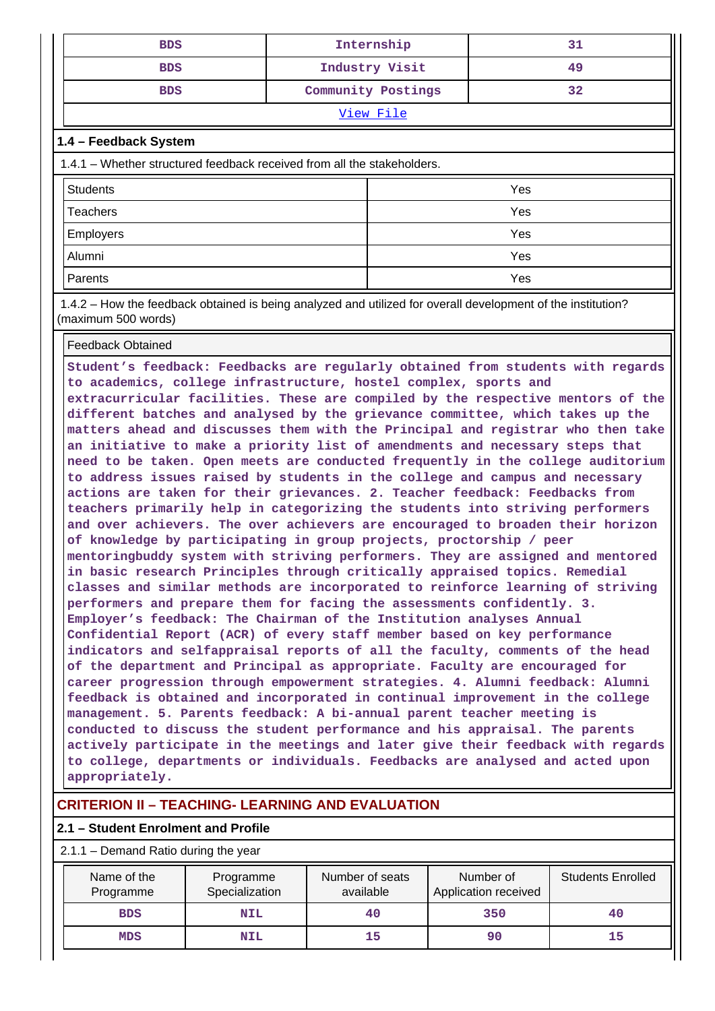| <b>BDS</b> | Internship         |    |  |  |  |
|------------|--------------------|----|--|--|--|
| <b>BDS</b> | Industry Visit     | 49 |  |  |  |
| <b>BDS</b> | Community Postings | 32 |  |  |  |
| View File  |                    |    |  |  |  |

### **1.4 – Feedback System**

| 1.4.1 – Whether structured feedback received from all the stakeholders. |     |  |  |  |  |  |
|-------------------------------------------------------------------------|-----|--|--|--|--|--|
| <b>Students</b>                                                         | Yes |  |  |  |  |  |
| <b>Teachers</b>                                                         | Yes |  |  |  |  |  |
| <b>Employers</b>                                                        | Yes |  |  |  |  |  |
| Alumni<br>Yes                                                           |     |  |  |  |  |  |
| Parents                                                                 | Yes |  |  |  |  |  |

 1.4.2 – How the feedback obtained is being analyzed and utilized for overall development of the institution? (maximum 500 words)

#### Feedback Obtained

**Student's feedback: Feedbacks are regularly obtained from students with regards to academics, college infrastructure, hostel complex, sports and extracurricular facilities. These are compiled by the respective mentors of the different batches and analysed by the grievance committee, which takes up the matters ahead and discusses them with the Principal and registrar who then take an initiative to make a priority list of amendments and necessary steps that need to be taken. Open meets are conducted frequently in the college auditorium to address issues raised by students in the college and campus and necessary actions are taken for their grievances. 2. Teacher feedback: Feedbacks from teachers primarily help in categorizing the students into striving performers and over achievers. The over achievers are encouraged to broaden their horizon of knowledge by participating in group projects, proctorship / peer mentoringbuddy system with striving performers. They are assigned and mentored in basic research Principles through critically appraised topics. Remedial classes and similar methods are incorporated to reinforce learning of striving performers and prepare them for facing the assessments confidently. 3. Employer's feedback: The Chairman of the Institution analyses Annual Confidential Report (ACR) of every staff member based on key performance indicators and selfappraisal reports of all the faculty, comments of the head of the department and Principal as appropriate. Faculty are encouraged for career progression through empowerment strategies. 4. Alumni feedback: Alumni feedback is obtained and incorporated in continual improvement in the college management. 5. Parents feedback: A bi-annual parent teacher meeting is conducted to discuss the student performance and his appraisal. The parents actively participate in the meetings and later give their feedback with regards to college, departments or individuals. Feedbacks are analysed and acted upon appropriately.**

# **CRITERION II – TEACHING- LEARNING AND EVALUATION**

### **2.1 – Student Enrolment and Profile**

#### 2.1.1 – Demand Ratio during the year

| Name of the<br>Programme | Programme<br>Specialization | Number of seats<br>available | Number of<br>Application received | <b>Students Enrolled</b> |
|--------------------------|-----------------------------|------------------------------|-----------------------------------|--------------------------|
| <b>BDS</b>               | <b>NIL</b>                  | 40                           | 350                               | 40                       |
| <b>MDS</b>               | <b>NIL</b>                  | 15                           |                                   | 15                       |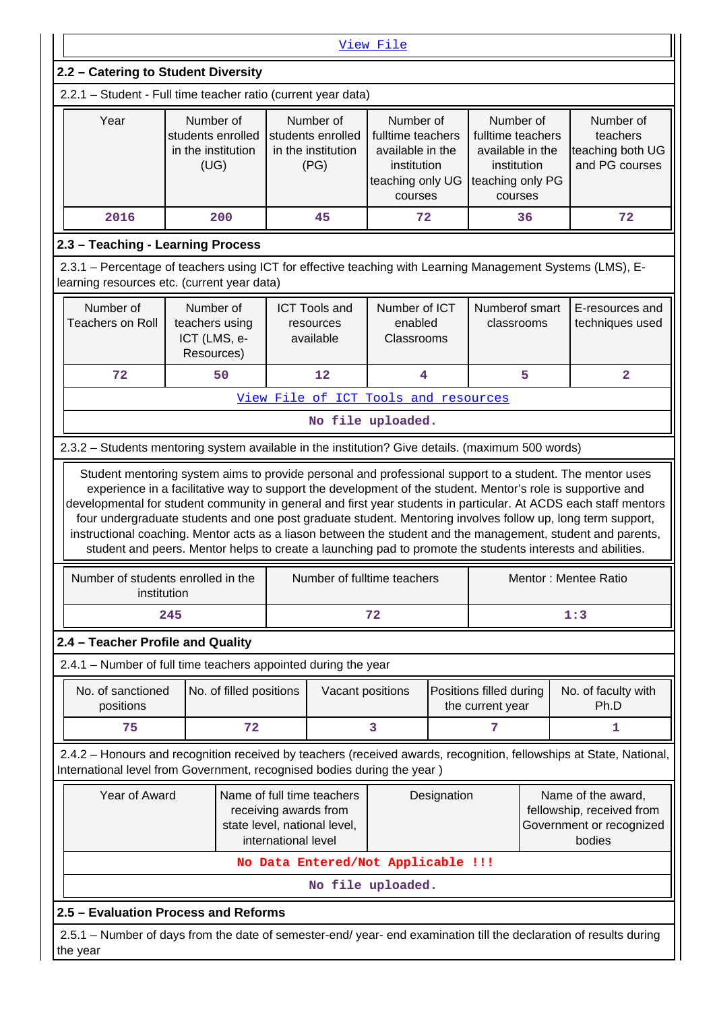| View File                                                                                                                                                                                                                           |                                                                                                                                                                                                                           |  |                                                              |                                                                                                  |  |                                                                                                  |    |                                                                                                                                          |
|-------------------------------------------------------------------------------------------------------------------------------------------------------------------------------------------------------------------------------------|---------------------------------------------------------------------------------------------------------------------------------------------------------------------------------------------------------------------------|--|--------------------------------------------------------------|--------------------------------------------------------------------------------------------------|--|--------------------------------------------------------------------------------------------------|----|------------------------------------------------------------------------------------------------------------------------------------------|
| 2.2 - Catering to Student Diversity                                                                                                                                                                                                 |                                                                                                                                                                                                                           |  |                                                              |                                                                                                  |  |                                                                                                  |    |                                                                                                                                          |
| 2.2.1 - Student - Full time teacher ratio (current year data)                                                                                                                                                                       |                                                                                                                                                                                                                           |  |                                                              |                                                                                                  |  |                                                                                                  |    |                                                                                                                                          |
| Year                                                                                                                                                                                                                                | Number of<br>students enrolled<br>in the institution<br>(UG)                                                                                                                                                              |  | Number of<br>students enrolled<br>in the institution<br>(PG) | Number of<br>fulltime teachers<br>available in the<br>institution<br>teaching only UG<br>courses |  | Number of<br>fulltime teachers<br>available in the<br>institution<br>teaching only PG<br>courses |    | Number of<br>teachers<br>teaching both UG<br>and PG courses                                                                              |
| 2016                                                                                                                                                                                                                                | 200                                                                                                                                                                                                                       |  | 45                                                           | 72                                                                                               |  |                                                                                                  | 36 | 72                                                                                                                                       |
| 2.3 - Teaching - Learning Process                                                                                                                                                                                                   |                                                                                                                                                                                                                           |  |                                                              |                                                                                                  |  |                                                                                                  |    |                                                                                                                                          |
| 2.3.1 - Percentage of teachers using ICT for effective teaching with Learning Management Systems (LMS), E-<br>learning resources etc. (current year data)                                                                           |                                                                                                                                                                                                                           |  |                                                              |                                                                                                  |  |                                                                                                  |    |                                                                                                                                          |
| Number of<br><b>Teachers on Roll</b>                                                                                                                                                                                                | Number of<br>teachers using<br>ICT (LMS, e-<br>Resources)                                                                                                                                                                 |  | <b>ICT Tools and</b><br>resources<br>available               | Number of ICT<br>enabled<br>Classrooms                                                           |  | Numberof smart<br>classrooms                                                                     |    | E-resources and<br>techniques used                                                                                                       |
| 72                                                                                                                                                                                                                                  | 50                                                                                                                                                                                                                        |  | 12                                                           | 4                                                                                                |  |                                                                                                  | 5  | $\mathbf{2}$                                                                                                                             |
|                                                                                                                                                                                                                                     |                                                                                                                                                                                                                           |  |                                                              | View File of ICT Tools and resources                                                             |  |                                                                                                  |    |                                                                                                                                          |
|                                                                                                                                                                                                                                     |                                                                                                                                                                                                                           |  |                                                              | No file uploaded.                                                                                |  |                                                                                                  |    |                                                                                                                                          |
| 2.3.2 - Students mentoring system available in the institution? Give details. (maximum 500 words)                                                                                                                                   |                                                                                                                                                                                                                           |  |                                                              |                                                                                                  |  |                                                                                                  |    |                                                                                                                                          |
| instructional coaching. Mentor acts as a liason between the student and the management, student and parents,<br>Number of students enrolled in the<br>institution                                                                   | four undergraduate students and one post graduate student. Mentoring involves follow up, long term support,<br>student and peers. Mentor helps to create a launching pad to promote the students interests and abilities. |  |                                                              | Number of fulltime teachers                                                                      |  |                                                                                                  |    | developmental for student community in general and first year students in particular. At ACDS each staff mentors<br>Mentor: Mentee Ratio |
|                                                                                                                                                                                                                                     | 245                                                                                                                                                                                                                       |  |                                                              | 72                                                                                               |  |                                                                                                  |    | 1:3                                                                                                                                      |
| 2.4 - Teacher Profile and Quality                                                                                                                                                                                                   |                                                                                                                                                                                                                           |  |                                                              |                                                                                                  |  |                                                                                                  |    |                                                                                                                                          |
| 2.4.1 - Number of full time teachers appointed during the year                                                                                                                                                                      |                                                                                                                                                                                                                           |  |                                                              |                                                                                                  |  |                                                                                                  |    |                                                                                                                                          |
| No. of sanctioned<br>positions                                                                                                                                                                                                      | No. of filled positions                                                                                                                                                                                                   |  | Vacant positions                                             |                                                                                                  |  | Positions filled during<br>the current year                                                      |    | No. of faculty with<br>Ph.D                                                                                                              |
| 75                                                                                                                                                                                                                                  | 72                                                                                                                                                                                                                        |  |                                                              | 3                                                                                                |  | 7                                                                                                |    | 1                                                                                                                                        |
| 2.4.2 - Honours and recognition received by teachers (received awards, recognition, fellowships at State, National,<br>International level from Government, recognised bodies during the year )                                     |                                                                                                                                                                                                                           |  |                                                              |                                                                                                  |  |                                                                                                  |    |                                                                                                                                          |
| Year of Award<br>Name of full time teachers<br>Designation<br>Name of the award,<br>fellowship, received from<br>receiving awards from<br>state level, national level,<br>Government or recognized<br>international level<br>bodies |                                                                                                                                                                                                                           |  |                                                              |                                                                                                  |  |                                                                                                  |    |                                                                                                                                          |
|                                                                                                                                                                                                                                     |                                                                                                                                                                                                                           |  |                                                              | No Data Entered/Not Applicable !!!                                                               |  |                                                                                                  |    |                                                                                                                                          |
|                                                                                                                                                                                                                                     |                                                                                                                                                                                                                           |  |                                                              | No file uploaded.                                                                                |  |                                                                                                  |    |                                                                                                                                          |
| 2.5 - Evaluation Process and Reforms                                                                                                                                                                                                |                                                                                                                                                                                                                           |  |                                                              |                                                                                                  |  |                                                                                                  |    |                                                                                                                                          |
| 2.5.1 - Number of days from the date of semester-end/ year- end examination till the declaration of results during<br>the year                                                                                                      |                                                                                                                                                                                                                           |  |                                                              |                                                                                                  |  |                                                                                                  |    |                                                                                                                                          |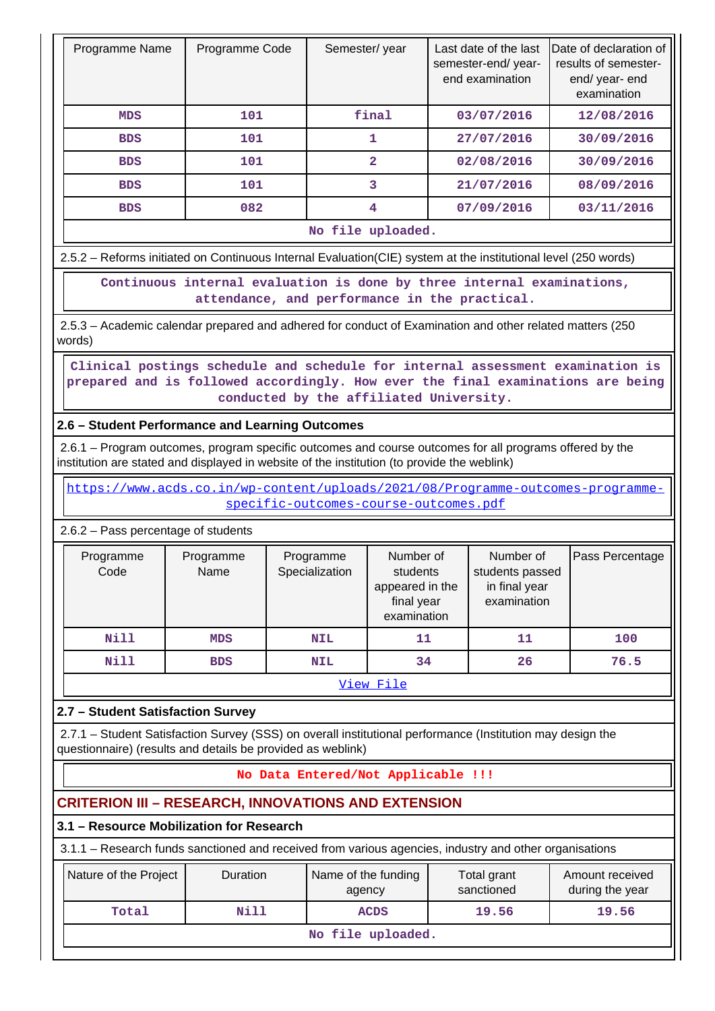| Programme Name    | Programme Code | Semester/year | Last date of the last<br>semester-end/year-<br>end examination | Date of declaration of<br>results of semester-<br>end/year-end<br>examination |  |  |  |
|-------------------|----------------|---------------|----------------------------------------------------------------|-------------------------------------------------------------------------------|--|--|--|
| <b>MDS</b>        | 101            | final         | 03/07/2016                                                     | 12/08/2016                                                                    |  |  |  |
| <b>BDS</b>        | 101            |               | 27/07/2016                                                     | 30/09/2016                                                                    |  |  |  |
| <b>BDS</b>        | 101            | 2             | 02/08/2016                                                     | 30/09/2016                                                                    |  |  |  |
| <b>BDS</b>        | 101            | 3             | 21/07/2016                                                     | 08/09/2016                                                                    |  |  |  |
| <b>BDS</b>        | 082            | 4             | 07/09/2016                                                     | 03/11/2016                                                                    |  |  |  |
| No file uploaded. |                |               |                                                                |                                                                               |  |  |  |

2.5.2 – Reforms initiated on Continuous Internal Evaluation(CIE) system at the institutional level (250 words)

 **Continuous internal evaluation is done by three internal examinations, attendance, and performance in the practical.**

 2.5.3 – Academic calendar prepared and adhered for conduct of Examination and other related matters (250 words)

 **Clinical postings schedule and schedule for internal assessment examination is prepared and is followed accordingly. How ever the final examinations are being conducted by the affiliated University.**

# **2.6 – Student Performance and Learning Outcomes**

 2.6.1 – Program outcomes, program specific outcomes and course outcomes for all programs offered by the institution are stated and displayed in website of the institution (to provide the weblink)

 [https://www.acds.co.in/wp-content/uploads/2021/08/Programme-outcomes-programme](https://www.acds.co.in/wp-content/uploads/2021/08/Programme-outcomes-programme-specific-outcomes-course-outcomes.pdf)[specific-outcomes-course-outcomes.pdf](https://www.acds.co.in/wp-content/uploads/2021/08/Programme-outcomes-programme-specific-outcomes-course-outcomes.pdf)

### 2.6.2 – Pass percentage of students

| Programme<br>Code | Programme<br>Name | Programme<br>Specialization | Number of<br>students<br>appeared in the<br>final year<br>examination | Number of<br>students passed<br>in final year<br>examination | Pass Percentage |  |
|-------------------|-------------------|-----------------------------|-----------------------------------------------------------------------|--------------------------------------------------------------|-----------------|--|
| <b>Nill</b>       | MDS               | <b>NIL</b>                  | 11                                                                    | 11                                                           | 100             |  |
| <b>Nill</b>       | <b>BDS</b>        |                             | 34                                                                    | 26                                                           | 76.5            |  |
|                   |                   |                             |                                                                       |                                                              |                 |  |

[View File](https://assessmentonline.naac.gov.in/public/Postacc/Pass_percentage/19458_Pass_percentage_1645845884.xlsx)

# **2.7 – Student Satisfaction Survey**

 2.7.1 – Student Satisfaction Survey (SSS) on overall institutional performance (Institution may design the questionnaire) (results and details be provided as weblink)

# **No Data Entered/Not Applicable !!!**

# **CRITERION III – RESEARCH, INNOVATIONS AND EXTENSION**

### **3.1 – Resource Mobilization for Research**

3.1.1 – Research funds sanctioned and received from various agencies, industry and other organisations

| Nature of the Project | <b>Duration</b> | Name of the funding<br>agency | Total grant<br>sanctioned | Amount received<br>during the year |  |  |  |  |
|-----------------------|-----------------|-------------------------------|---------------------------|------------------------------------|--|--|--|--|
| Total                 | Nill            | <b>ACDS</b>                   | 19.56                     | 19.56                              |  |  |  |  |
| No file uploaded.     |                 |                               |                           |                                    |  |  |  |  |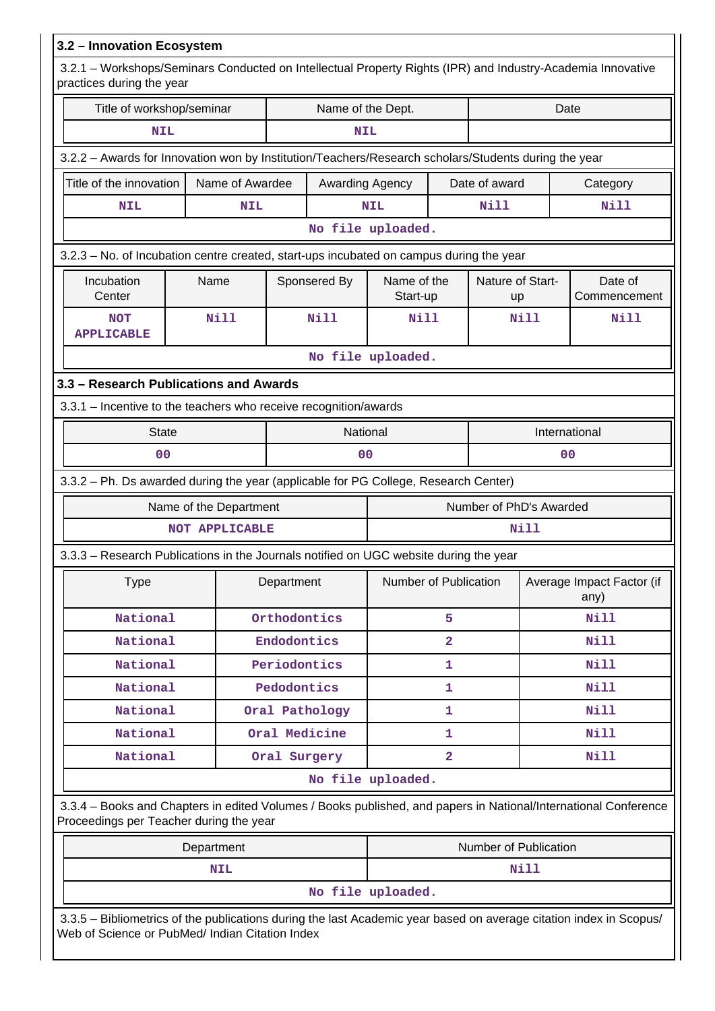| 3.2 - Innovation Ecosystem                                                                                                                                            |                        |               |                   |                         |                         |                         |                                   |                         |  |  |
|-----------------------------------------------------------------------------------------------------------------------------------------------------------------------|------------------------|---------------|-------------------|-------------------------|-------------------------|-------------------------|-----------------------------------|-------------------------|--|--|
| 3.2.1 – Workshops/Seminars Conducted on Intellectual Property Rights (IPR) and Industry-Academia Innovative<br>practices during the year                              |                        |               |                   |                         |                         |                         |                                   |                         |  |  |
| Title of workshop/seminar                                                                                                                                             |                        |               | Name of the Dept. |                         |                         |                         | Date                              |                         |  |  |
| <b>NIL</b>                                                                                                                                                            |                        |               | <b>NIL</b>        |                         |                         |                         |                                   |                         |  |  |
| 3.2.2 - Awards for Innovation won by Institution/Teachers/Research scholars/Students during the year                                                                  |                        |               |                   |                         |                         |                         |                                   |                         |  |  |
| Title of the innovation                                                                                                                                               | Name of Awardee        |               | Awarding Agency   |                         |                         | Date of award           |                                   | Category                |  |  |
| <b>NIL</b>                                                                                                                                                            | <b>NIL</b>             |               |                   |                         |                         | Nill                    |                                   | <b>Nill</b>             |  |  |
|                                                                                                                                                                       |                        |               |                   | No file uploaded.       |                         |                         |                                   |                         |  |  |
| 3.2.3 - No. of Incubation centre created, start-ups incubated on campus during the year                                                                               |                        |               |                   |                         |                         |                         |                                   |                         |  |  |
| Incubation<br>Center                                                                                                                                                  | Name                   |               | Sponsered By      | Name of the<br>Start-up |                         | Nature of Start-<br>up  |                                   | Date of<br>Commencement |  |  |
| <b>NOT</b><br><b>APPLICABLE</b>                                                                                                                                       | <b>Nill</b>            |               | <b>Nill</b>       | Nill                    |                         |                         | Nill                              | Nill                    |  |  |
|                                                                                                                                                                       |                        |               |                   | No file uploaded.       |                         |                         |                                   |                         |  |  |
| 3.3 - Research Publications and Awards                                                                                                                                |                        |               |                   |                         |                         |                         |                                   |                         |  |  |
| 3.3.1 - Incentive to the teachers who receive recognition/awards                                                                                                      |                        |               |                   |                         |                         |                         |                                   |                         |  |  |
| <b>State</b>                                                                                                                                                          |                        |               | National          |                         |                         |                         | International                     |                         |  |  |
| 0 <sub>0</sub>                                                                                                                                                        |                        |               | 0 <sub>0</sub>    |                         |                         |                         | 0 <sub>0</sub>                    |                         |  |  |
| 3.3.2 - Ph. Ds awarded during the year (applicable for PG College, Research Center)                                                                                   |                        |               |                   |                         |                         |                         |                                   |                         |  |  |
|                                                                                                                                                                       | Name of the Department |               |                   |                         |                         | Number of PhD's Awarded |                                   |                         |  |  |
|                                                                                                                                                                       | <b>NOT APPLICABLE</b>  |               |                   |                         |                         |                         | Nill                              |                         |  |  |
| 3.3.3 - Research Publications in the Journals notified on UGC website during the year                                                                                 |                        |               |                   |                         |                         |                         |                                   |                         |  |  |
| <b>Type</b>                                                                                                                                                           |                        | Department    |                   | Number of Publication   |                         |                         | Average Impact Factor (if<br>any) |                         |  |  |
| National                                                                                                                                                              |                        | Orthodontics  |                   |                         | 5                       |                         |                                   | Nill                    |  |  |
| National                                                                                                                                                              |                        | Endodontics   |                   |                         | $\overline{a}$          |                         |                                   | Nill                    |  |  |
| National                                                                                                                                                              |                        | Periodontics  |                   |                         | $\mathbf{1}$            |                         |                                   | Nill                    |  |  |
| National                                                                                                                                                              |                        | Pedodontics   |                   |                         | 1                       |                         |                                   | <b>Nill</b>             |  |  |
| National                                                                                                                                                              |                        |               | Oral Pathology    |                         | 1                       |                         |                                   | Nill                    |  |  |
| National                                                                                                                                                              |                        | Oral Medicine |                   |                         | 1                       |                         |                                   | Nill                    |  |  |
| National                                                                                                                                                              |                        | Oral Surgery  |                   |                         | $\overline{\mathbf{2}}$ |                         |                                   | Nill                    |  |  |
|                                                                                                                                                                       |                        |               |                   | No file uploaded.       |                         |                         |                                   |                         |  |  |
| 3.3.4 - Books and Chapters in edited Volumes / Books published, and papers in National/International Conference<br>Proceedings per Teacher during the year            |                        |               |                   |                         |                         |                         |                                   |                         |  |  |
|                                                                                                                                                                       | Department             |               |                   |                         |                         | Number of Publication   |                                   |                         |  |  |
|                                                                                                                                                                       | <b>NIL</b>             |               |                   |                         |                         |                         | Nill                              |                         |  |  |
|                                                                                                                                                                       |                        |               |                   | No file uploaded.       |                         |                         |                                   |                         |  |  |
| 3.3.5 - Bibliometrics of the publications during the last Academic year based on average citation index in Scopus/<br>Web of Science or PubMed/ Indian Citation Index |                        |               |                   |                         |                         |                         |                                   |                         |  |  |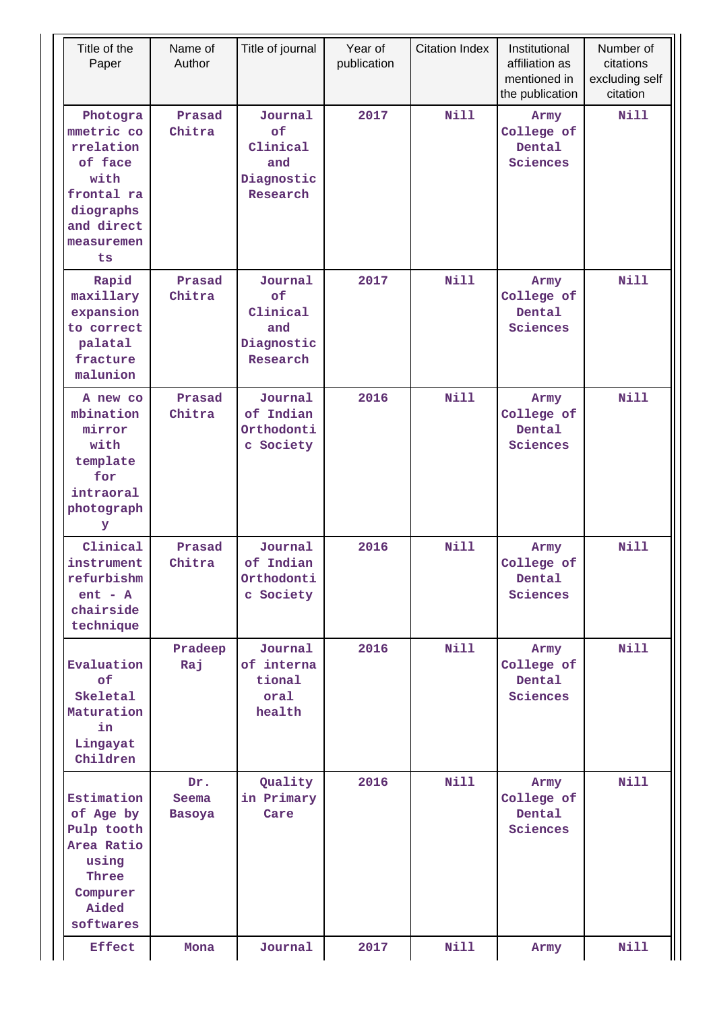| Title of the<br>Paper                                                                                                | Name of<br>Author             | Title of journal                                           | Year of<br>publication | <b>Citation Index</b> | Institutional<br>affiliation as<br>mentioned in<br>the publication | Number of<br>citations<br>excluding self<br>citation |
|----------------------------------------------------------------------------------------------------------------------|-------------------------------|------------------------------------------------------------|------------------------|-----------------------|--------------------------------------------------------------------|------------------------------------------------------|
| Photogra<br>mmetric co<br>rrelation<br>of face<br>with<br>frontal ra<br>diographs<br>and direct<br>measuremen<br>ts. | Prasad<br>Chitra              | Journal<br>of<br>Clinical<br>and<br>Diagnostic<br>Research | 2017                   | <b>Nill</b>           | Army<br>College of<br>Dental<br>Sciences                           | Nill                                                 |
| Rapid<br>maxillary<br>expansion<br>to correct<br>palatal<br>fracture<br>malunion                                     | Prasad<br>Chitra              | Journal<br>of<br>Clinical<br>and<br>Diagnostic<br>Research | 2017                   | <b>Nill</b>           | Army<br>College of<br>Dental<br>Sciences                           | <b>Nill</b>                                          |
| A new co<br>mbination<br>mirror<br>with<br>template<br>for<br>intraoral<br>photograph<br>У                           | Prasad<br>Chitra              | Journal<br>of Indian<br>Orthodonti<br>c Society            | 2016                   | Nill                  | Army<br>College of<br>Dental<br>Sciences                           | <b>Nill</b>                                          |
| Clinical<br>instrument<br>refurbishm<br>$ent - A$<br>chairside<br>technique                                          | Prasad<br>Chitra              | Journal<br>of Indian<br>Orthodonti<br>c Society            | 2016                   | <b>Nill</b>           | Army<br>College of<br>Dental<br>Sciences                           | <b>Nill</b>                                          |
| Evaluation<br>of<br>Skeletal<br>Maturation<br>in<br>Lingayat<br>Children                                             | Pradeep<br>Raj                | Journal<br>of interna<br>tional<br>oral<br>health          | 2016                   | <b>Nill</b>           | Army<br>College of<br>Dental<br>Sciences                           | Nill                                                 |
| Estimation<br>of Age by<br>Pulp tooth<br>Area Ratio<br>using<br>Three<br>Compurer<br>Aided<br>softwares              | Dr.<br>Seema<br><b>Basoya</b> | Quality<br>in Primary<br>Care                              | 2016                   | <b>Nill</b>           | Army<br>College of<br>Dental<br>Sciences                           | Nill                                                 |
| <b>Effect</b>                                                                                                        | Mona                          | Journal                                                    | 2017                   | <b>Nill</b>           | Army                                                               | <b>Nill</b>                                          |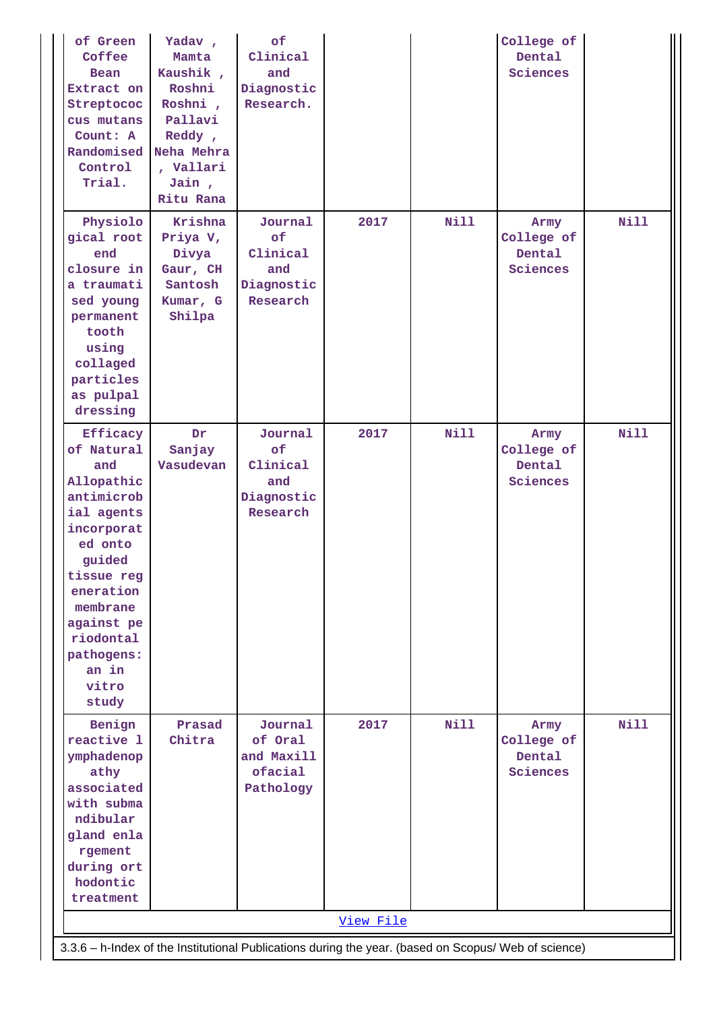| of Green<br>Coffee<br>Bean<br>Extract on<br>Streptococ<br>cus mutans<br>Count: A<br>Randomised<br>Control<br>Trial.                                                                                                   | Yadav,<br>Mamta<br>Kaushik,<br>Roshni<br>Roshni,<br>Pallavi<br>Reddy,<br>Neha Mehra<br>, Vallari<br>Jain,<br>Ritu Rana | of<br>Clinical<br>and<br>Diagnostic<br>Research.           |           |             | College of<br>Dental<br>Sciences         |             |
|-----------------------------------------------------------------------------------------------------------------------------------------------------------------------------------------------------------------------|------------------------------------------------------------------------------------------------------------------------|------------------------------------------------------------|-----------|-------------|------------------------------------------|-------------|
| Physiolo<br>gical root<br>end<br>closure in<br>a traumati<br>sed young<br>permanent<br>tooth<br>using<br>collaged<br>particles<br>as pulpal<br>dressing                                                               | Krishna<br>Priya V,<br>Divya<br>Gaur, CH<br>Santosh<br>Kumar, G<br>Shilpa                                              | Journal<br>of<br>Clinical<br>and<br>Diagnostic<br>Research | 2017      | <b>Nill</b> | Army<br>College of<br>Dental<br>Sciences | <b>Nill</b> |
| Efficacy<br>of Natural<br>and<br>Allopathic<br>antimicrob<br>ial agents<br>incorporat<br>ed onto<br>guided<br>tissue reg<br>eneration<br>membrane<br>against pe<br>riodontal<br>pathogens:<br>an in<br>vitro<br>study | Dr<br>Sanjay<br>Vasudevan                                                                                              | Journal<br>of<br>Clinical<br>and<br>Diagnostic<br>Research | 2017      | <b>Nill</b> | Army<br>College of<br>Dental<br>Sciences | <b>Nill</b> |
| Benign<br>reactive 1<br>ymphadenop<br>athy<br>associated<br>with subma<br>ndibular<br>gland enla<br>rgement<br>during ort<br>hodontic<br>treatment                                                                    | Prasad<br>Chitra                                                                                                       | Journal<br>of Oral<br>and Maxill<br>ofacial<br>Pathology   | 2017      | <b>Nill</b> | Army<br>College of<br>Dental<br>Sciences | <b>Nill</b> |
| 3.3.6 - h-Index of the Institutional Publications during the year. (based on Scopus/ Web of science)                                                                                                                  |                                                                                                                        |                                                            | View File |             |                                          |             |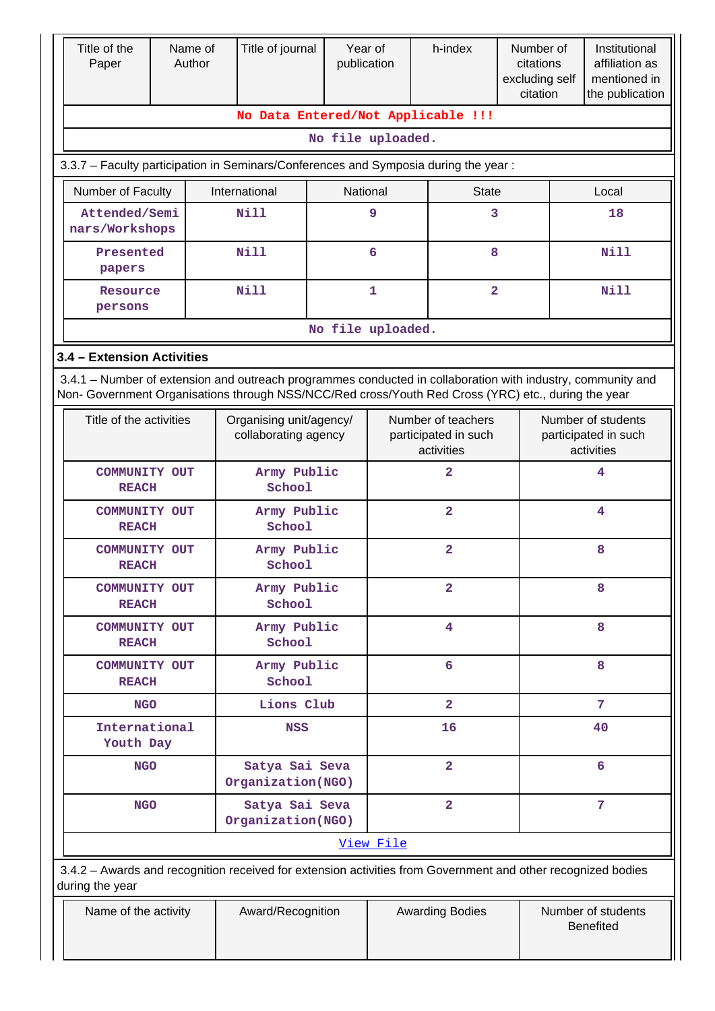| Title of the<br>Paper           | Name of<br>Author | Title of journal                                                                                                                                                                                                   |                   | Year of<br>publication | h-index                                                  | Number of<br>citations<br>excluding self<br>citation |                                                          | Institutional<br>affiliation as<br>mentioned in<br>the publication |  |  |  |
|---------------------------------|-------------------|--------------------------------------------------------------------------------------------------------------------------------------------------------------------------------------------------------------------|-------------------|------------------------|----------------------------------------------------------|------------------------------------------------------|----------------------------------------------------------|--------------------------------------------------------------------|--|--|--|
|                                 |                   |                                                                                                                                                                                                                    |                   |                        | No Data Entered/Not Applicable !!!                       |                                                      |                                                          |                                                                    |  |  |  |
|                                 |                   |                                                                                                                                                                                                                    | No file uploaded. |                        |                                                          |                                                      |                                                          |                                                                    |  |  |  |
|                                 |                   | 3.3.7 - Faculty participation in Seminars/Conferences and Symposia during the year:                                                                                                                                |                   |                        |                                                          |                                                      |                                                          |                                                                    |  |  |  |
| Number of Faculty               |                   | International                                                                                                                                                                                                      |                   | National               | <b>State</b>                                             |                                                      | Local                                                    |                                                                    |  |  |  |
| Attended/Semi<br>nars/Workshops |                   | Nill                                                                                                                                                                                                               |                   | 9                      | 3                                                        |                                                      | 18                                                       |                                                                    |  |  |  |
| Presented<br>papers             |                   | <b>Nill</b>                                                                                                                                                                                                        |                   | 6                      | 8                                                        |                                                      | Nill                                                     |                                                                    |  |  |  |
| Resource<br>persons             |                   | <b>Nill</b>                                                                                                                                                                                                        |                   | $\mathbf{1}$           | $\overline{\mathbf{2}}$                                  |                                                      | <b>Nill</b>                                              |                                                                    |  |  |  |
| No file uploaded.               |                   |                                                                                                                                                                                                                    |                   |                        |                                                          |                                                      |                                                          |                                                                    |  |  |  |
| 3.4 - Extension Activities      |                   |                                                                                                                                                                                                                    |                   |                        |                                                          |                                                      |                                                          |                                                                    |  |  |  |
|                                 |                   | 3.4.1 – Number of extension and outreach programmes conducted in collaboration with industry, community and<br>Non- Government Organisations through NSS/NCC/Red cross/Youth Red Cross (YRC) etc., during the year |                   |                        |                                                          |                                                      |                                                          |                                                                    |  |  |  |
| Title of the activities         |                   | Organising unit/agency/<br>collaborating agency                                                                                                                                                                    |                   |                        | Number of teachers<br>participated in such<br>activities |                                                      | Number of students<br>participated in such<br>activities |                                                                    |  |  |  |
| COMMUNITY OUT<br><b>REACH</b>   |                   | Army Public<br>School                                                                                                                                                                                              |                   |                        | $\overline{\mathbf{2}}$                                  |                                                      | 4                                                        |                                                                    |  |  |  |
| COMMUNITY OUT<br><b>REACH</b>   |                   | Army Public<br>School                                                                                                                                                                                              |                   |                        | $\overline{a}$                                           |                                                      | 4                                                        |                                                                    |  |  |  |
| COMMUNITY OUT<br><b>REACH</b>   |                   | Army Public<br>School                                                                                                                                                                                              |                   |                        | $\overline{2}$                                           |                                                      | 8                                                        |                                                                    |  |  |  |
| COMMUNITY OUT<br><b>REACH</b>   |                   | Army Public<br>School                                                                                                                                                                                              |                   |                        | $\overline{a}$                                           |                                                      | 8                                                        |                                                                    |  |  |  |
| COMMUNITY OUT<br><b>REACH</b>   |                   | Army Public<br>School                                                                                                                                                                                              |                   |                        | $\overline{\mathbf{4}}$                                  |                                                      | 8                                                        |                                                                    |  |  |  |
| COMMUNITY OUT<br><b>REACH</b>   |                   | Army Public<br>School                                                                                                                                                                                              |                   |                        | 6                                                        |                                                      | 8                                                        |                                                                    |  |  |  |
| <b>NGO</b>                      |                   | Lions Club                                                                                                                                                                                                         |                   |                        | $\overline{2}$                                           |                                                      | 7                                                        |                                                                    |  |  |  |
| International<br>Youth Day      |                   | <b>NSS</b>                                                                                                                                                                                                         |                   |                        | 16                                                       |                                                      | 40                                                       |                                                                    |  |  |  |
| <b>NGO</b>                      |                   | Satya Sai Seva<br>Organization(NGO)                                                                                                                                                                                |                   |                        | $\overline{a}$                                           |                                                      | 6                                                        |                                                                    |  |  |  |
| <b>NGO</b>                      |                   | Satya Sai Seva<br>Organization(NGO)                                                                                                                                                                                |                   |                        | $\overline{2}$                                           |                                                      | 7                                                        |                                                                    |  |  |  |
|                                 |                   |                                                                                                                                                                                                                    |                   | View File              |                                                          |                                                      |                                                          |                                                                    |  |  |  |
| during the year                 |                   | 3.4.2 - Awards and recognition received for extension activities from Government and other recognized bodies                                                                                                       |                   |                        |                                                          |                                                      |                                                          |                                                                    |  |  |  |
| Name of the activity            |                   | Award/Recognition                                                                                                                                                                                                  |                   |                        | <b>Awarding Bodies</b>                                   |                                                      | Number of students<br><b>Benefited</b>                   |                                                                    |  |  |  |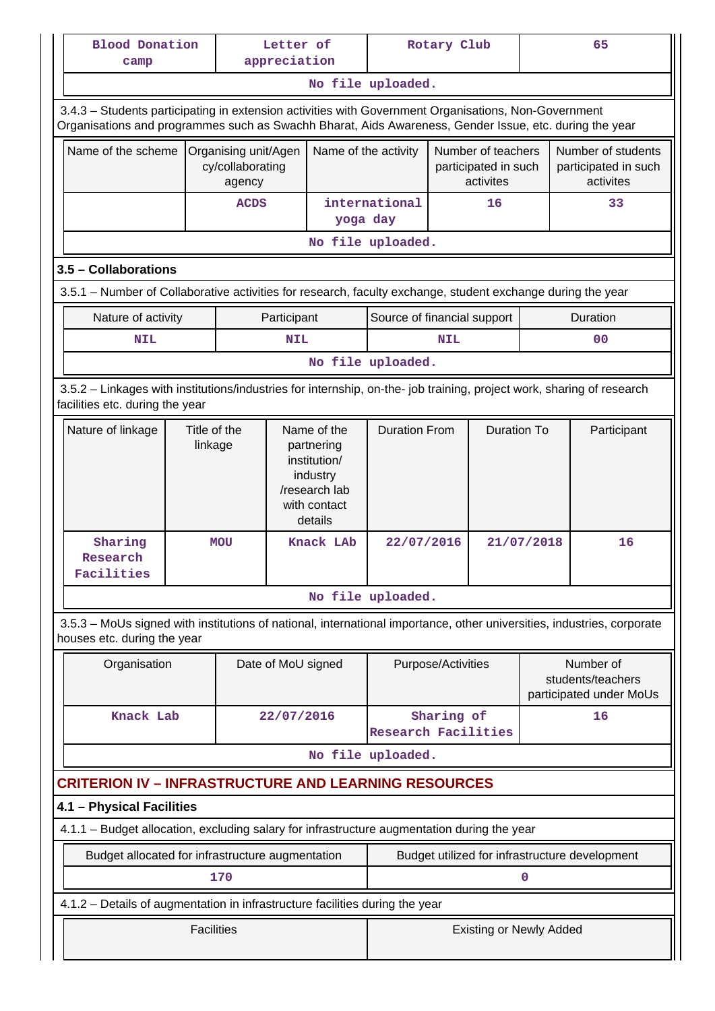| camp                                                                                                                                                                                                           | <b>Blood Donation</b><br>Letter of<br>appreciation |                                                                                                                                                      |                    |                      | Rotary Club                 |                          | 65                                                      |  |    |                                                           |
|----------------------------------------------------------------------------------------------------------------------------------------------------------------------------------------------------------------|----------------------------------------------------|------------------------------------------------------------------------------------------------------------------------------------------------------|--------------------|----------------------|-----------------------------|--------------------------|---------------------------------------------------------|--|----|-----------------------------------------------------------|
|                                                                                                                                                                                                                |                                                    |                                                                                                                                                      |                    |                      | No file uploaded.           |                          |                                                         |  |    |                                                           |
| 3.4.3 - Students participating in extension activities with Government Organisations, Non-Government<br>Organisations and programmes such as Swachh Bharat, Aids Awareness, Gender Issue, etc. during the year |                                                    |                                                                                                                                                      |                    |                      |                             |                          |                                                         |  |    |                                                           |
| Name of the scheme                                                                                                                                                                                             |                                                    | Organising unit/Agen<br>cy/collaborating<br>agency                                                                                                   |                    | Name of the activity |                             |                          | Number of teachers<br>participated in such<br>activites |  |    | Number of students<br>participated in such<br>activites   |
|                                                                                                                                                                                                                |                                                    | <b>ACDS</b>                                                                                                                                          |                    | yoga day             | international               |                          | 16                                                      |  |    | 33                                                        |
|                                                                                                                                                                                                                |                                                    |                                                                                                                                                      |                    |                      | No file uploaded.           |                          |                                                         |  |    |                                                           |
| 3.5 - Collaborations                                                                                                                                                                                           |                                                    |                                                                                                                                                      |                    |                      |                             |                          |                                                         |  |    |                                                           |
| 3.5.1 – Number of Collaborative activities for research, faculty exchange, student exchange during the year                                                                                                    |                                                    |                                                                                                                                                      |                    |                      |                             |                          |                                                         |  |    |                                                           |
| Nature of activity                                                                                                                                                                                             |                                                    |                                                                                                                                                      | Participant        |                      | Source of financial support |                          |                                                         |  |    | Duration                                                  |
| <b>NIL</b>                                                                                                                                                                                                     |                                                    |                                                                                                                                                      | <b>NIL</b>         |                      |                             | <b>NIL</b>               |                                                         |  |    | 00                                                        |
|                                                                                                                                                                                                                |                                                    |                                                                                                                                                      |                    |                      | No file uploaded.           |                          |                                                         |  |    |                                                           |
| 3.5.2 - Linkages with institutions/industries for internship, on-the- job training, project work, sharing of research<br>facilities etc. during the year                                                       |                                                    |                                                                                                                                                      |                    |                      |                             |                          |                                                         |  |    |                                                           |
| Nature of linkage                                                                                                                                                                                              |                                                    | Title of the<br><b>Duration From</b><br>Name of the<br>linkage<br>partnering<br>institution/<br>industry<br>/research lab<br>with contact<br>details |                    | <b>Duration To</b>   |                             | Participant              |                                                         |  |    |                                                           |
| Sharing<br>Research<br>Facilities                                                                                                                                                                              |                                                    | <b>MOU</b>                                                                                                                                           |                    | Knack LAb            |                             | 21/07/2018<br>22/07/2016 |                                                         |  | 16 |                                                           |
|                                                                                                                                                                                                                |                                                    |                                                                                                                                                      |                    |                      | No file uploaded.           |                          |                                                         |  |    |                                                           |
| 3.5.3 - MoUs signed with institutions of national, international importance, other universities, industries, corporate<br>houses etc. during the year                                                          |                                                    |                                                                                                                                                      |                    |                      |                             |                          |                                                         |  |    |                                                           |
| Organisation                                                                                                                                                                                                   |                                                    |                                                                                                                                                      | Date of MoU signed |                      |                             | Purpose/Activities       |                                                         |  |    | Number of<br>students/teachers<br>participated under MoUs |
| Knack Lab                                                                                                                                                                                                      |                                                    |                                                                                                                                                      | 22/07/2016         |                      | <b>Research Facilities</b>  | Sharing of               |                                                         |  |    | 16                                                        |
|                                                                                                                                                                                                                |                                                    |                                                                                                                                                      |                    |                      | No file uploaded.           |                          |                                                         |  |    |                                                           |
| <b>CRITERION IV - INFRASTRUCTURE AND LEARNING RESOURCES</b>                                                                                                                                                    |                                                    |                                                                                                                                                      |                    |                      |                             |                          |                                                         |  |    |                                                           |
| 4.1 - Physical Facilities                                                                                                                                                                                      |                                                    |                                                                                                                                                      |                    |                      |                             |                          |                                                         |  |    |                                                           |
| 4.1.1 - Budget allocation, excluding salary for infrastructure augmentation during the year                                                                                                                    |                                                    |                                                                                                                                                      |                    |                      |                             |                          |                                                         |  |    |                                                           |
| Budget allocated for infrastructure augmentation                                                                                                                                                               |                                                    |                                                                                                                                                      |                    |                      |                             |                          |                                                         |  |    | Budget utilized for infrastructure development            |
|                                                                                                                                                                                                                | 170                                                |                                                                                                                                                      |                    |                      |                             |                          | 0                                                       |  |    |                                                           |
| 4.1.2 - Details of augmentation in infrastructure facilities during the year                                                                                                                                   |                                                    |                                                                                                                                                      |                    |                      |                             |                          |                                                         |  |    |                                                           |
|                                                                                                                                                                                                                | <b>Facilities</b>                                  |                                                                                                                                                      |                    |                      |                             |                          | <b>Existing or Newly Added</b>                          |  |    |                                                           |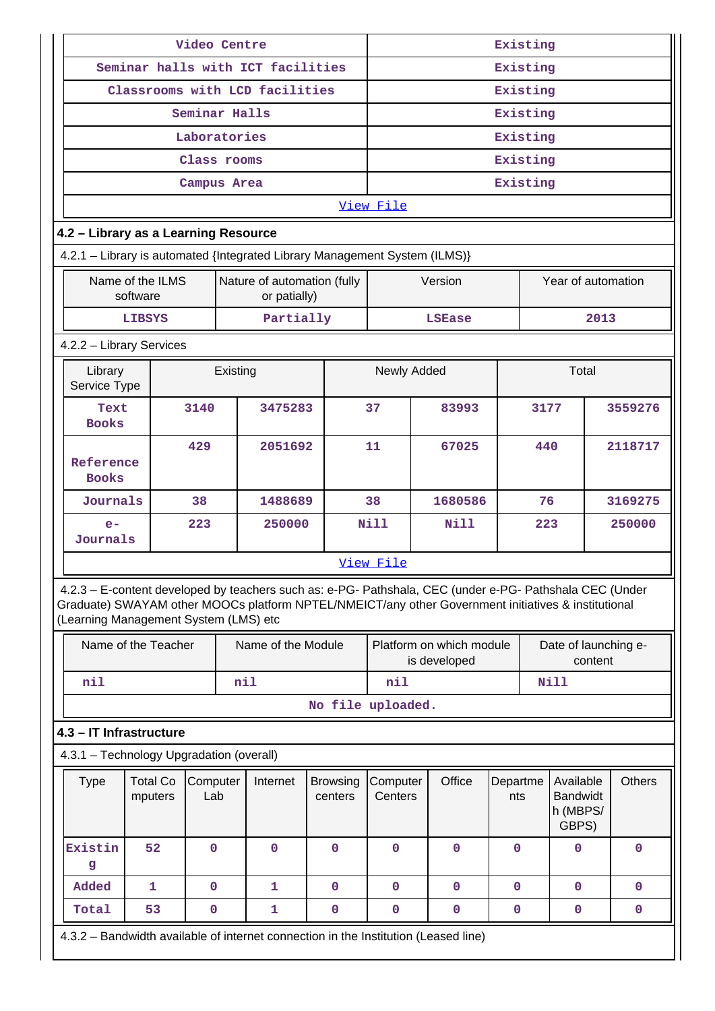|                                                                                                                                                                                                                                                         |                             | Video Centre    |          |                                   |  | Existing                   |                                                |  |                                          |                 |          |                                                   |              |               |
|---------------------------------------------------------------------------------------------------------------------------------------------------------------------------------------------------------------------------------------------------------|-----------------------------|-----------------|----------|-----------------------------------|--|----------------------------|------------------------------------------------|--|------------------------------------------|-----------------|----------|---------------------------------------------------|--------------|---------------|
|                                                                                                                                                                                                                                                         |                             |                 |          | Seminar halls with ICT facilities |  |                            | Existing                                       |  |                                          |                 |          |                                                   |              |               |
|                                                                                                                                                                                                                                                         |                             |                 |          | Classrooms with LCD facilities    |  |                            |                                                |  |                                          |                 | Existing |                                                   |              |               |
|                                                                                                                                                                                                                                                         |                             | Seminar Halls   |          |                                   |  |                            |                                                |  |                                          |                 | Existing |                                                   |              |               |
|                                                                                                                                                                                                                                                         |                             | Laboratories    |          |                                   |  |                            |                                                |  |                                          |                 | Existing |                                                   |              |               |
|                                                                                                                                                                                                                                                         |                             | Class rooms     |          |                                   |  |                            |                                                |  |                                          |                 | Existing |                                                   |              |               |
|                                                                                                                                                                                                                                                         |                             | Campus Area     |          |                                   |  |                            |                                                |  |                                          |                 | Existing |                                                   |              |               |
|                                                                                                                                                                                                                                                         |                             |                 |          |                                   |  |                            | View File                                      |  |                                          |                 |          |                                                   |              |               |
| 4.2 - Library as a Learning Resource                                                                                                                                                                                                                    |                             |                 |          |                                   |  |                            |                                                |  |                                          |                 |          |                                                   |              |               |
| 4.2.1 - Library is automated {Integrated Library Management System (ILMS)}                                                                                                                                                                              |                             |                 |          |                                   |  |                            |                                                |  |                                          |                 |          |                                                   |              |               |
| Name of the ILMS<br>software                                                                                                                                                                                                                            | Nature of automation (fully |                 |          | Version                           |  |                            | Year of automation                             |  |                                          |                 |          |                                                   |              |               |
|                                                                                                                                                                                                                                                         | <b>LIBSYS</b>               |                 |          | Partially                         |  |                            |                                                |  | <b>LSEase</b>                            |                 |          |                                                   | 2013         |               |
| 4.2.2 - Library Services                                                                                                                                                                                                                                |                             |                 |          |                                   |  |                            |                                                |  |                                          |                 |          |                                                   |              |               |
| Library<br>Service Type                                                                                                                                                                                                                                 |                             |                 | Existing |                                   |  |                            | Newly Added                                    |  |                                          |                 |          | Total                                             |              |               |
| Text<br><b>Books</b>                                                                                                                                                                                                                                    |                             | 3140            |          | 3475283                           |  |                            | 37                                             |  | 83993                                    |                 | 3177     |                                                   |              | 3559276       |
| Reference<br><b>Books</b>                                                                                                                                                                                                                               |                             | 429             |          | 2051692                           |  |                            | 11                                             |  | 67025                                    |                 | 440      |                                                   | 2118717      |               |
| Journals                                                                                                                                                                                                                                                |                             | 38              |          | 1488689                           |  |                            | 38                                             |  | 1680586                                  |                 | 76       |                                                   |              | 3169275       |
| $e-$<br>Journals                                                                                                                                                                                                                                        |                             | 223             |          | 250000                            |  |                            | <b>Nill</b>                                    |  | N111                                     |                 |          | 223                                               |              | 250000        |
|                                                                                                                                                                                                                                                         |                             |                 |          |                                   |  |                            | View File                                      |  |                                          |                 |          |                                                   |              |               |
| 4.2.3 - E-content developed by teachers such as: e-PG- Pathshala, CEC (under e-PG- Pathshala CEC (Under<br>Graduate) SWAYAM other MOOCs platform NPTEL/NMEICT/any other Government initiatives & institutional<br>(Learning Management System (LMS) etc |                             |                 |          |                                   |  |                            |                                                |  |                                          |                 |          |                                                   |              |               |
|                                                                                                                                                                                                                                                         | Name of the Teacher         |                 |          | Name of the Module                |  |                            |                                                |  | Platform on which module<br>is developed |                 |          | Date of launching e-                              | content      |               |
| nil                                                                                                                                                                                                                                                     |                             |                 | nil      |                                   |  |                            | nil                                            |  |                                          |                 |          | <b>Nill</b>                                       |              |               |
|                                                                                                                                                                                                                                                         |                             |                 |          |                                   |  |                            | No file uploaded.                              |  |                                          |                 |          |                                                   |              |               |
| 4.3 - IT Infrastructure                                                                                                                                                                                                                                 |                             |                 |          |                                   |  |                            |                                                |  |                                          |                 |          |                                                   |              |               |
| 4.3.1 - Technology Upgradation (overall)                                                                                                                                                                                                                |                             |                 |          |                                   |  |                            |                                                |  |                                          |                 |          |                                                   |              |               |
| <b>Type</b>                                                                                                                                                                                                                                             | <b>Total Co</b><br>mputers  | Computer<br>Lab |          | Internet                          |  | <b>Browsing</b><br>centers | Computer<br>Centers                            |  | Office                                   | Departme<br>nts |          | Available<br><b>Bandwidt</b><br>h (MBPS/<br>GBPS) |              | <b>Others</b> |
| Existin<br>g                                                                                                                                                                                                                                            | 52                          | $\mathbf 0$     |          | $\mathbf 0$                       |  | $\mathbf 0$                | $\mathbf 0$                                    |  | $\mathbf 0$                              | $\mathbf 0$     |          | 0                                                 |              | $\mathbf 0$   |
| Added                                                                                                                                                                                                                                                   | 1                           | $\mathbf 0$     |          | 1                                 |  | $\mathbf 0$                | $\mathbf 0$<br>$\mathbf 0$<br>$\mathbf 0$<br>0 |  |                                          |                 |          |                                                   | $\mathbf{0}$ |               |
| Total                                                                                                                                                                                                                                                   | 53                          | $\mathbf 0$     |          | 1                                 |  | 0                          | $\mathbf 0$                                    |  | $\mathbf 0$                              | $\mathbf 0$     |          | 0                                                 |              | $\mathbf 0$   |
| 4.3.2 – Bandwidth available of internet connection in the Institution (Leased line)                                                                                                                                                                     |                             |                 |          |                                   |  |                            |                                                |  |                                          |                 |          |                                                   |              |               |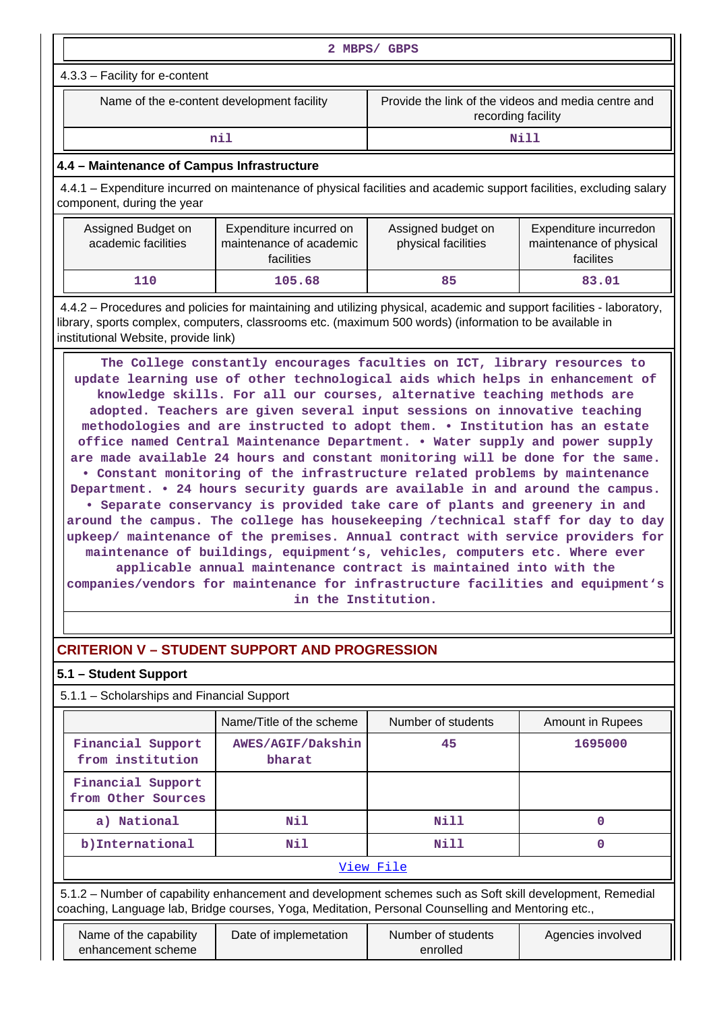|                                                                                                                                                                                                                                                                                                                                                                                                                                                                                                                                                                                                                                                                                                                                                                                                                                                                                                                                                                                                                                                                                                                                                                                                                                                                                                                                                                                                          |                                            | 2 MBPS/ GBPS                                                              |       |  |  |  |  |  |  |
|----------------------------------------------------------------------------------------------------------------------------------------------------------------------------------------------------------------------------------------------------------------------------------------------------------------------------------------------------------------------------------------------------------------------------------------------------------------------------------------------------------------------------------------------------------------------------------------------------------------------------------------------------------------------------------------------------------------------------------------------------------------------------------------------------------------------------------------------------------------------------------------------------------------------------------------------------------------------------------------------------------------------------------------------------------------------------------------------------------------------------------------------------------------------------------------------------------------------------------------------------------------------------------------------------------------------------------------------------------------------------------------------------------|--------------------------------------------|---------------------------------------------------------------------------|-------|--|--|--|--|--|--|
| 4.3.3 - Facility for e-content                                                                                                                                                                                                                                                                                                                                                                                                                                                                                                                                                                                                                                                                                                                                                                                                                                                                                                                                                                                                                                                                                                                                                                                                                                                                                                                                                                           |                                            |                                                                           |       |  |  |  |  |  |  |
| Name of the e-content development facility                                                                                                                                                                                                                                                                                                                                                                                                                                                                                                                                                                                                                                                                                                                                                                                                                                                                                                                                                                                                                                                                                                                                                                                                                                                                                                                                                               |                                            | Provide the link of the videos and media centre and<br>recording facility |       |  |  |  |  |  |  |
|                                                                                                                                                                                                                                                                                                                                                                                                                                                                                                                                                                                                                                                                                                                                                                                                                                                                                                                                                                                                                                                                                                                                                                                                                                                                                                                                                                                                          | nil                                        |                                                                           | Nill  |  |  |  |  |  |  |
|                                                                                                                                                                                                                                                                                                                                                                                                                                                                                                                                                                                                                                                                                                                                                                                                                                                                                                                                                                                                                                                                                                                                                                                                                                                                                                                                                                                                          | 4.4 - Maintenance of Campus Infrastructure |                                                                           |       |  |  |  |  |  |  |
| 4.4.1 – Expenditure incurred on maintenance of physical facilities and academic support facilities, excluding salary<br>component, during the year                                                                                                                                                                                                                                                                                                                                                                                                                                                                                                                                                                                                                                                                                                                                                                                                                                                                                                                                                                                                                                                                                                                                                                                                                                                       |                                            |                                                                           |       |  |  |  |  |  |  |
| Assigned Budget on<br>Assigned budget on<br>Expenditure incurredon<br>Expenditure incurred on<br>academic facilities<br>maintenance of academic<br>physical facilities<br>maintenance of physical<br>facilities<br>facilites                                                                                                                                                                                                                                                                                                                                                                                                                                                                                                                                                                                                                                                                                                                                                                                                                                                                                                                                                                                                                                                                                                                                                                             |                                            |                                                                           |       |  |  |  |  |  |  |
| 110                                                                                                                                                                                                                                                                                                                                                                                                                                                                                                                                                                                                                                                                                                                                                                                                                                                                                                                                                                                                                                                                                                                                                                                                                                                                                                                                                                                                      | 105.68                                     | 85                                                                        | 83.01 |  |  |  |  |  |  |
| 4.4.2 – Procedures and policies for maintaining and utilizing physical, academic and support facilities - laboratory,                                                                                                                                                                                                                                                                                                                                                                                                                                                                                                                                                                                                                                                                                                                                                                                                                                                                                                                                                                                                                                                                                                                                                                                                                                                                                    |                                            |                                                                           |       |  |  |  |  |  |  |
| library, sports complex, computers, classrooms etc. (maximum 500 words) (information to be available in<br>institutional Website, provide link)<br>The College constantly encourages faculties on ICT, library resources to<br>update learning use of other technological aids which helps in enhancement of<br>knowledge skills. For all our courses, alternative teaching methods are<br>adopted. Teachers are given several input sessions on innovative teaching<br>methodologies and are instructed to adopt them. . Institution has an estate<br>office named Central Maintenance Department. . Water supply and power supply<br>are made available 24 hours and constant monitoring will be done for the same.<br>. Constant monitoring of the infrastructure related problems by maintenance<br>Department. . 24 hours security guards are available in and around the campus.<br>• Separate conservancy is provided take care of plants and greenery in and<br>around the campus. The college has housekeeping /technical staff for day to day<br>upkeep/ maintenance of the premises. Annual contract with service providers for<br>maintenance of buildings, equipment's, vehicles, computers etc. Where ever<br>applicable annual maintenance contract is maintained into with the<br>companies/vendors for maintenance for infrastructure facilities and equipment's<br>in the Institution. |                                            |                                                                           |       |  |  |  |  |  |  |

# **CRITERION V – STUDENT SUPPORT AND PROGRESSION**

# **5.1 – Student Support**

5.1.1 – Scholarships and Financial Support

|                                         | Name/Title of the scheme    | Number of students | <b>Amount in Rupees</b> |  |  |  |  |  |
|-----------------------------------------|-----------------------------|--------------------|-------------------------|--|--|--|--|--|
| Financial Support<br>from institution   | AWES/AGIF/Dakshin<br>bharat | 45                 | 1695000                 |  |  |  |  |  |
| Financial Support<br>from Other Sources |                             |                    |                         |  |  |  |  |  |
| a) National                             | Nil                         | Nill               | 0                       |  |  |  |  |  |
| b) International                        | Nil                         | Nill               |                         |  |  |  |  |  |
| View File                               |                             |                    |                         |  |  |  |  |  |

 5.1.2 – Number of capability enhancement and development schemes such as Soft skill development, Remedial coaching, Language lab, Bridge courses, Yoga, Meditation, Personal Counselling and Mentoring etc.,

| Name of the capability | Date of implemetation | Number of students | Agencies involved |
|------------------------|-----------------------|--------------------|-------------------|
| enhancement scheme     |                       | enrolled           |                   |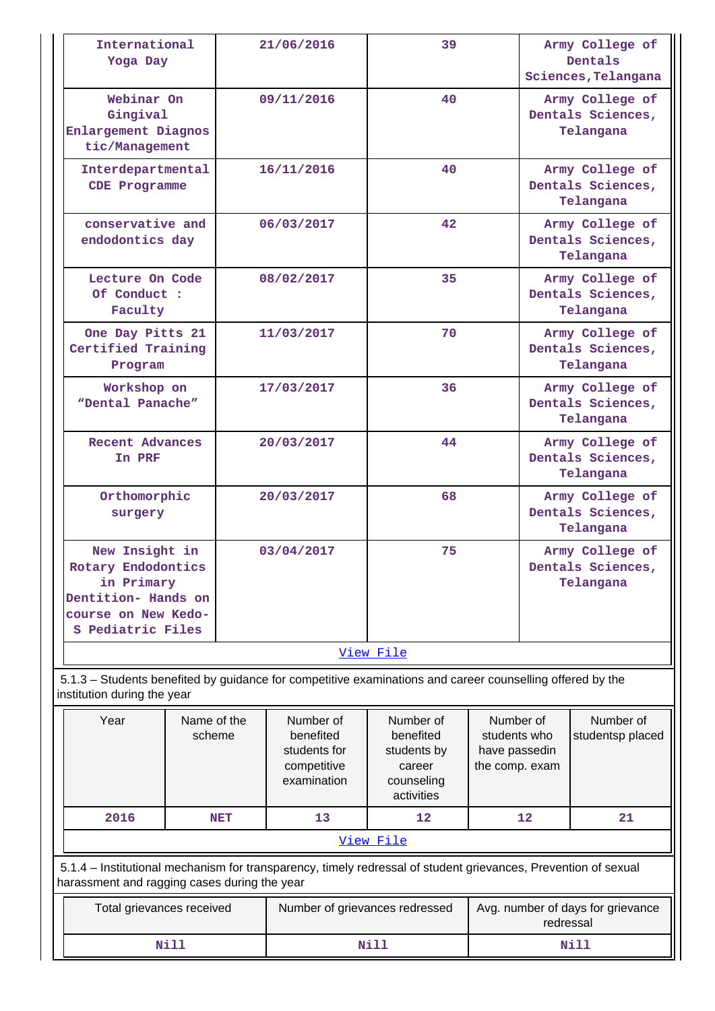| International<br>Yoga Day                                                                                                                                      |                                    |            | 21/06/2016                                                           | 39                                                                          |                                                              |                                                   | Army College of<br>Dentals<br>Sciences, Telangana |  |  |  |
|----------------------------------------------------------------------------------------------------------------------------------------------------------------|------------------------------------|------------|----------------------------------------------------------------------|-----------------------------------------------------------------------------|--------------------------------------------------------------|---------------------------------------------------|---------------------------------------------------|--|--|--|
| Webinar On<br>Gingival<br>Enlargement Diagnos<br>tic/Management                                                                                                |                                    |            | 09/11/2016                                                           | 40                                                                          |                                                              |                                                   | Army College of<br>Dentals Sciences,<br>Telangana |  |  |  |
|                                                                                                                                                                | Interdepartmental<br>CDE Programme |            | 16/11/2016                                                           | 40                                                                          |                                                              | Army College of<br>Dentals Sciences,<br>Telangana |                                                   |  |  |  |
| conservative and<br>endodontics day                                                                                                                            |                                    |            | 06/03/2017                                                           | 42                                                                          |                                                              |                                                   | Army College of<br>Dentals Sciences,<br>Telangana |  |  |  |
| Lecture On Code<br>Of Conduct :<br>Faculty                                                                                                                     |                                    |            | 08/02/2017                                                           | 35                                                                          |                                                              |                                                   | Army College of<br>Dentals Sciences,<br>Telangana |  |  |  |
| One Day Pitts 21<br>Certified Training<br>Program                                                                                                              |                                    |            | 11/03/2017                                                           | 70                                                                          |                                                              |                                                   | Army College of<br>Dentals Sciences,<br>Telangana |  |  |  |
| Workshop on<br>"Dental Panache"                                                                                                                                |                                    |            | 17/03/2017                                                           | 36                                                                          |                                                              | Army College of<br>Dentals Sciences,<br>Telangana |                                                   |  |  |  |
| <b>Recent Advances</b><br>In PRF                                                                                                                               |                                    |            | 20/03/2017                                                           | 44                                                                          |                                                              | Army College of<br>Dentals Sciences,<br>Telangana |                                                   |  |  |  |
| Orthomorphic<br>surgery                                                                                                                                        |                                    |            | 20/03/2017                                                           | 68                                                                          |                                                              |                                                   | Army College of<br>Dentals Sciences,<br>Telangana |  |  |  |
| New Insight in<br>Rotary Endodontics<br>in Primary<br>Dentition- Hands on<br>course on New Kedo-<br>S Pediatric Files                                          |                                    |            | 03/04/2017                                                           | 75                                                                          |                                                              |                                                   | Army College of<br>Dentals Sciences,<br>Telangana |  |  |  |
|                                                                                                                                                                |                                    |            |                                                                      | View File                                                                   |                                                              |                                                   |                                                   |  |  |  |
| 5.1.3 - Students benefited by guidance for competitive examinations and career counselling offered by the<br>institution during the year                       |                                    |            |                                                                      |                                                                             |                                                              |                                                   |                                                   |  |  |  |
| Year                                                                                                                                                           | Name of the<br>scheme              |            | Number of<br>benefited<br>students for<br>competitive<br>examination | Number of<br>benefited<br>students by<br>career<br>counseling<br>activities | Number of<br>students who<br>have passedin<br>the comp. exam |                                                   | Number of<br>studentsp placed                     |  |  |  |
| 2016                                                                                                                                                           |                                    | <b>NET</b> | 13                                                                   | 12                                                                          |                                                              | 12                                                | 21                                                |  |  |  |
| View File                                                                                                                                                      |                                    |            |                                                                      |                                                                             |                                                              |                                                   |                                                   |  |  |  |
| 5.1.4 – Institutional mechanism for transparency, timely redressal of student grievances, Prevention of sexual<br>harassment and ragging cases during the year |                                    |            |                                                                      |                                                                             |                                                              |                                                   |                                                   |  |  |  |
| Total grievances received                                                                                                                                      |                                    |            | Number of grievances redressed                                       | Avg. number of days for grievance<br>redressal                              |                                                              |                                                   |                                                   |  |  |  |
|                                                                                                                                                                | <b>Nill</b>                        |            |                                                                      | Nill                                                                        |                                                              |                                                   | Nill                                              |  |  |  |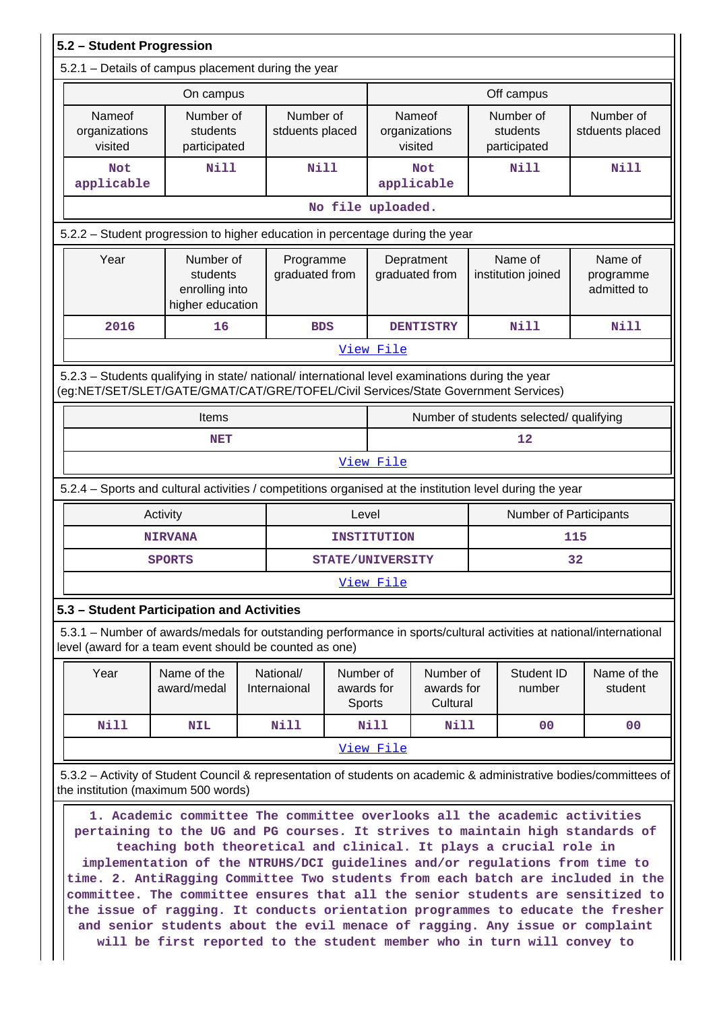| 5.2 - Student Progression                                                                                                                                                                                                                                                                                                                                                                                                                                                                                                                                                                                                                                                                                                                                                  |                                                                                                                    |                           |                                                                    |                         |                                     |  |                                         |                                     |  |
|----------------------------------------------------------------------------------------------------------------------------------------------------------------------------------------------------------------------------------------------------------------------------------------------------------------------------------------------------------------------------------------------------------------------------------------------------------------------------------------------------------------------------------------------------------------------------------------------------------------------------------------------------------------------------------------------------------------------------------------------------------------------------|--------------------------------------------------------------------------------------------------------------------|---------------------------|--------------------------------------------------------------------|-------------------------|-------------------------------------|--|-----------------------------------------|-------------------------------------|--|
| 5.2.1 - Details of campus placement during the year                                                                                                                                                                                                                                                                                                                                                                                                                                                                                                                                                                                                                                                                                                                        |                                                                                                                    |                           |                                                                    |                         |                                     |  |                                         |                                     |  |
| On campus                                                                                                                                                                                                                                                                                                                                                                                                                                                                                                                                                                                                                                                                                                                                                                  |                                                                                                                    |                           |                                                                    |                         | Off campus                          |  |                                         |                                     |  |
| Nameof<br>organizations<br>visited                                                                                                                                                                                                                                                                                                                                                                                                                                                                                                                                                                                                                                                                                                                                         | Number of<br>students<br>participated                                                                              |                           | Number of<br>Nameof<br>organizations<br>stduents placed<br>visited |                         |                                     |  | Number of<br>students<br>participated   | Number of<br>stduents placed        |  |
| <b>Not</b><br>applicable                                                                                                                                                                                                                                                                                                                                                                                                                                                                                                                                                                                                                                                                                                                                                   | <b>Nill</b>                                                                                                        | Nill                      |                                                                    |                         | <b>Not</b><br>applicable            |  | <b>Nill</b>                             | <b>Nill</b>                         |  |
|                                                                                                                                                                                                                                                                                                                                                                                                                                                                                                                                                                                                                                                                                                                                                                            |                                                                                                                    |                           |                                                                    | No file uploaded.       |                                     |  |                                         |                                     |  |
| 5.2.2 – Student progression to higher education in percentage during the year                                                                                                                                                                                                                                                                                                                                                                                                                                                                                                                                                                                                                                                                                              |                                                                                                                    |                           |                                                                    |                         |                                     |  |                                         |                                     |  |
| Year                                                                                                                                                                                                                                                                                                                                                                                                                                                                                                                                                                                                                                                                                                                                                                       | Number of<br>students<br>enrolling into<br>higher education                                                        |                           | Programme<br>graduated from                                        |                         | Depratment<br>graduated from        |  | Name of<br>institution joined           | Name of<br>programme<br>admitted to |  |
| 2016                                                                                                                                                                                                                                                                                                                                                                                                                                                                                                                                                                                                                                                                                                                                                                       | 16                                                                                                                 | <b>BDS</b>                |                                                                    |                         | <b>DENTISTRY</b>                    |  | Nill                                    | <b>Nill</b>                         |  |
|                                                                                                                                                                                                                                                                                                                                                                                                                                                                                                                                                                                                                                                                                                                                                                            |                                                                                                                    |                           |                                                                    | View File               |                                     |  |                                         |                                     |  |
| 5.2.3 - Students qualifying in state/ national/ international level examinations during the year<br>(eg:NET/SET/SLET/GATE/GMAT/CAT/GRE/TOFEL/Civil Services/State Government Services)                                                                                                                                                                                                                                                                                                                                                                                                                                                                                                                                                                                     |                                                                                                                    |                           |                                                                    |                         |                                     |  |                                         |                                     |  |
|                                                                                                                                                                                                                                                                                                                                                                                                                                                                                                                                                                                                                                                                                                                                                                            | Items                                                                                                              |                           |                                                                    |                         |                                     |  | Number of students selected/ qualifying |                                     |  |
|                                                                                                                                                                                                                                                                                                                                                                                                                                                                                                                                                                                                                                                                                                                                                                            | NET                                                                                                                |                           |                                                                    |                         |                                     |  | 12                                      |                                     |  |
|                                                                                                                                                                                                                                                                                                                                                                                                                                                                                                                                                                                                                                                                                                                                                                            |                                                                                                                    |                           |                                                                    | View File               |                                     |  |                                         |                                     |  |
| 5.2.4 - Sports and cultural activities / competitions organised at the institution level during the year                                                                                                                                                                                                                                                                                                                                                                                                                                                                                                                                                                                                                                                                   |                                                                                                                    |                           |                                                                    |                         |                                     |  |                                         |                                     |  |
|                                                                                                                                                                                                                                                                                                                                                                                                                                                                                                                                                                                                                                                                                                                                                                            | Activity                                                                                                           |                           | Level                                                              |                         |                                     |  | Number of Participants                  |                                     |  |
|                                                                                                                                                                                                                                                                                                                                                                                                                                                                                                                                                                                                                                                                                                                                                                            | <b>NIRVANA</b>                                                                                                     |                           |                                                                    | <b>INSTITUTION</b>      |                                     |  |                                         | 115                                 |  |
|                                                                                                                                                                                                                                                                                                                                                                                                                                                                                                                                                                                                                                                                                                                                                                            | <b>SPORTS</b>                                                                                                      |                           |                                                                    | <b>STATE/UNIVERSITY</b> |                                     |  |                                         | 32                                  |  |
|                                                                                                                                                                                                                                                                                                                                                                                                                                                                                                                                                                                                                                                                                                                                                                            |                                                                                                                    |                           |                                                                    | View File               |                                     |  |                                         |                                     |  |
| 5.3 - Student Participation and Activities                                                                                                                                                                                                                                                                                                                                                                                                                                                                                                                                                                                                                                                                                                                                 |                                                                                                                    |                           |                                                                    |                         |                                     |  |                                         |                                     |  |
| 5.3.1 – Number of awards/medals for outstanding performance in sports/cultural activities at national/international<br>level (award for a team event should be counted as one)                                                                                                                                                                                                                                                                                                                                                                                                                                                                                                                                                                                             |                                                                                                                    |                           |                                                                    |                         |                                     |  |                                         |                                     |  |
| Year                                                                                                                                                                                                                                                                                                                                                                                                                                                                                                                                                                                                                                                                                                                                                                       | Name of the<br>award/medal                                                                                         | National/<br>Internaional | awards for<br><b>Sports</b>                                        | Number of               | Number of<br>awards for<br>Cultural |  | Student ID<br>number                    | Name of the<br>student              |  |
| <b>Nill</b>                                                                                                                                                                                                                                                                                                                                                                                                                                                                                                                                                                                                                                                                                                                                                                | <b>NIL</b>                                                                                                         | Nill                      |                                                                    | Nill                    | Nill                                |  | 00                                      | 00                                  |  |
|                                                                                                                                                                                                                                                                                                                                                                                                                                                                                                                                                                                                                                                                                                                                                                            |                                                                                                                    |                           |                                                                    | View File               |                                     |  |                                         |                                     |  |
|                                                                                                                                                                                                                                                                                                                                                                                                                                                                                                                                                                                                                                                                                                                                                                            | 5.3.2 – Activity of Student Council & representation of students on academic & administrative bodies/committees of |                           |                                                                    |                         |                                     |  |                                         |                                     |  |
| the institution (maximum 500 words)<br>1. Academic committee The committee overlooks all the academic activities<br>pertaining to the UG and PG courses. It strives to maintain high standards of<br>teaching both theoretical and clinical. It plays a crucial role in<br>implementation of the NTRUHS/DCI guidelines and/or regulations from time to<br>time. 2. AntiRagging Committee Two students from each batch are included in the<br>committee. The committee ensures that all the senior students are sensitized to<br>the issue of ragging. It conducts orientation programmes to educate the fresher<br>and senior students about the evil menace of ragging. Any issue or complaint<br>will be first reported to the student member who in turn will convey to |                                                                                                                    |                           |                                                                    |                         |                                     |  |                                         |                                     |  |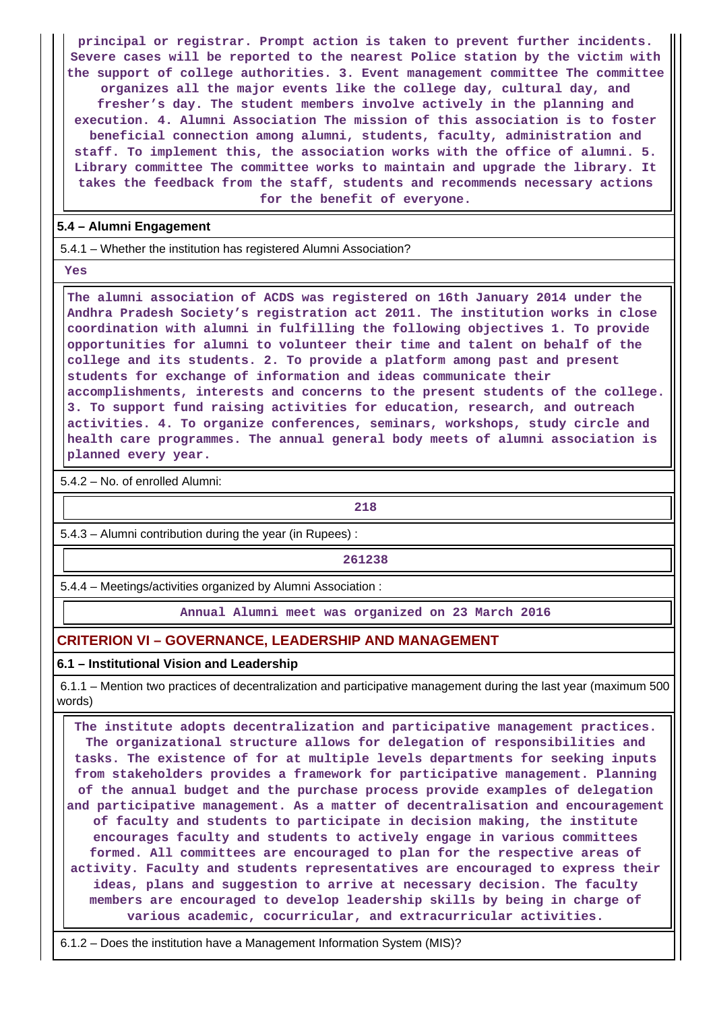**principal or registrar. Prompt action is taken to prevent further incidents. Severe cases will be reported to the nearest Police station by the victim with the support of college authorities. 3. Event management committee The committee organizes all the major events like the college day, cultural day, and fresher's day. The student members involve actively in the planning and execution. 4. Alumni Association The mission of this association is to foster beneficial connection among alumni, students, faculty, administration and staff. To implement this, the association works with the office of alumni. 5. Library committee The committee works to maintain and upgrade the library. It takes the feedback from the staff, students and recommends necessary actions for the benefit of everyone.**

#### **5.4 – Alumni Engagement**

5.4.1 – Whether the institution has registered Alumni Association?

 **Yes**

 **The alumni association of ACDS was registered on 16th January 2014 under the Andhra Pradesh Society's registration act 2011. The institution works in close coordination with alumni in fulfilling the following objectives 1. To provide opportunities for alumni to volunteer their time and talent on behalf of the college and its students. 2. To provide a platform among past and present students for exchange of information and ideas communicate their accomplishments, interests and concerns to the present students of the college. 3. To support fund raising activities for education, research, and outreach activities. 4. To organize conferences, seminars, workshops, study circle and health care programmes. The annual general body meets of alumni association is planned every year.**

5.4.2 – No. of enrolled Alumni:

**218**

5.4.3 – Alumni contribution during the year (in Rupees) :

**261238**

5.4.4 – Meetings/activities organized by Alumni Association :

**Annual Alumni meet was organized on 23 March 2016**

### **CRITERION VI – GOVERNANCE, LEADERSHIP AND MANAGEMENT**

#### **6.1 – Institutional Vision and Leadership**

 6.1.1 – Mention two practices of decentralization and participative management during the last year (maximum 500 words)

 **The institute adopts decentralization and participative management practices. The organizational structure allows for delegation of responsibilities and tasks. The existence of for at multiple levels departments for seeking inputs from stakeholders provides a framework for participative management. Planning of the annual budget and the purchase process provide examples of delegation and participative management. As a matter of decentralisation and encouragement of faculty and students to participate in decision making, the institute encourages faculty and students to actively engage in various committees formed. All committees are encouraged to plan for the respective areas of activity. Faculty and students representatives are encouraged to express their ideas, plans and suggestion to arrive at necessary decision. The faculty members are encouraged to develop leadership skills by being in charge of various academic, cocurricular, and extracurricular activities.**

6.1.2 – Does the institution have a Management Information System (MIS)?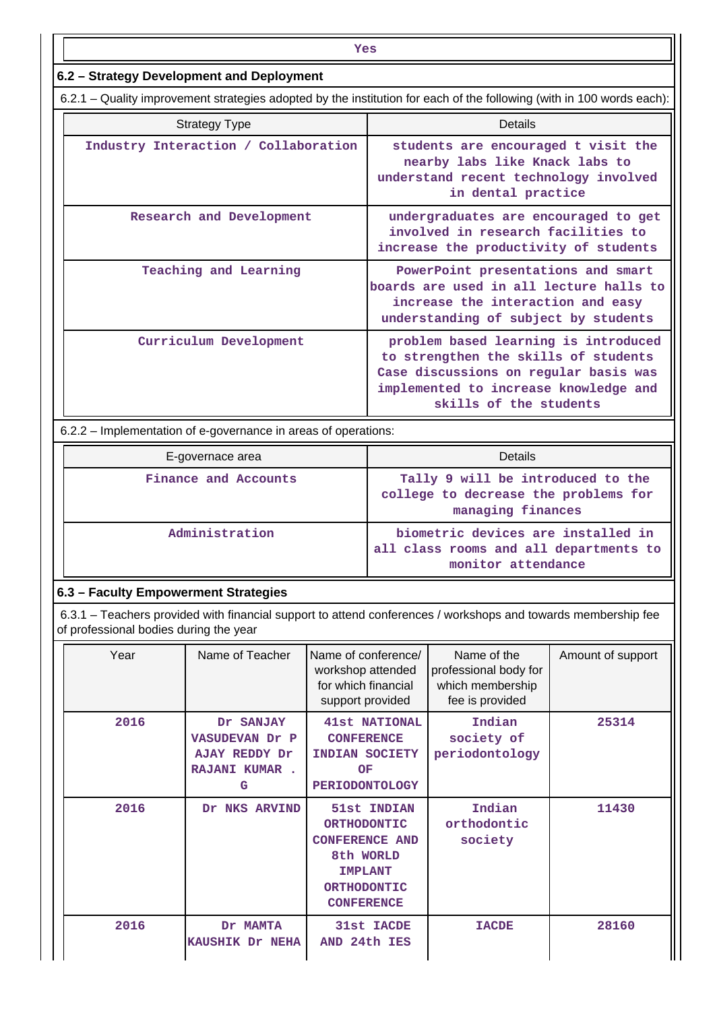| Yes                                                                                                                   |                                                                                                                                                                                          |  |  |  |  |  |
|-----------------------------------------------------------------------------------------------------------------------|------------------------------------------------------------------------------------------------------------------------------------------------------------------------------------------|--|--|--|--|--|
| 6.2 - Strategy Development and Deployment                                                                             |                                                                                                                                                                                          |  |  |  |  |  |
| 6.2.1 – Quality improvement strategies adopted by the institution for each of the following (with in 100 words each): |                                                                                                                                                                                          |  |  |  |  |  |
| <b>Strategy Type</b>                                                                                                  | <b>Details</b>                                                                                                                                                                           |  |  |  |  |  |
| Industry Interaction / Collaboration                                                                                  | students are encouraged t visit the<br>nearby labs like Knack labs to<br>understand recent technology involved<br>in dental practice                                                     |  |  |  |  |  |
| Research and Development                                                                                              | undergraduates are encouraged to get<br>involved in research facilities to<br>increase the productivity of students                                                                      |  |  |  |  |  |
| Teaching and Learning                                                                                                 | PowerPoint presentations and smart<br>boards are used in all lecture halls to<br>increase the interaction and easy<br>understanding of subject by students                               |  |  |  |  |  |
| Curriculum Development                                                                                                | problem based learning is introduced<br>to strengthen the skills of students<br>Case discussions on regular basis was<br>implemented to increase knowledge and<br>skills of the students |  |  |  |  |  |
| 6.2.2 – Implementation of e-governance in areas of operations:                                                        |                                                                                                                                                                                          |  |  |  |  |  |
| E-governace area                                                                                                      | <b>Details</b>                                                                                                                                                                           |  |  |  |  |  |
| Finance and Accounts                                                                                                  | Tally 9 will be introduced to the<br>college to decrease the problems for<br>managing finances                                                                                           |  |  |  |  |  |
| Administration                                                                                                        | biometric devices are installed in<br>all class rooms and all departments to<br>monitor attendance                                                                                       |  |  |  |  |  |
| 6.3 - Faculty Empowerment Strategies                                                                                  |                                                                                                                                                                                          |  |  |  |  |  |

 6.3.1 – Teachers provided with financial support to attend conferences / workshops and towards membership fee of professional bodies during the year

| Year | Name of Teacher                                                           | Name of conference/<br>workshop attended<br>for which financial<br>support provided                                                  | Name of the<br>professional body for<br>which membership<br>fee is provided | Amount of support |
|------|---------------------------------------------------------------------------|--------------------------------------------------------------------------------------------------------------------------------------|-----------------------------------------------------------------------------|-------------------|
| 2016 | Dr SANJAY<br>VASUDEVAN Dr P<br>AJAY REDDY Dr<br><b>RAJANI KUMAR.</b><br>G | <b>41st NATIONAL</b><br><b>CONFERENCE</b><br>INDIAN SOCIETY<br>OF<br><b>PERIODONTOLOGY</b>                                           | Indian<br>society of<br>periodontology                                      | 25314             |
| 2016 | Dr NKS ARVIND                                                             | 51st INDIAN<br><b>ORTHODONTIC</b><br><b>CONFERENCE AND</b><br>8th WORLD<br><b>IMPLANT</b><br><b>ORTHODONTIC</b><br><b>CONFERENCE</b> | Indian<br>orthodontic<br>society                                            | 11430             |
| 2016 | Dr MAMTA<br><b>KAUSHIK Dr NEHA</b>                                        | 31st IACDE<br>AND 24th IES                                                                                                           | <b>IACDE</b>                                                                | 28160             |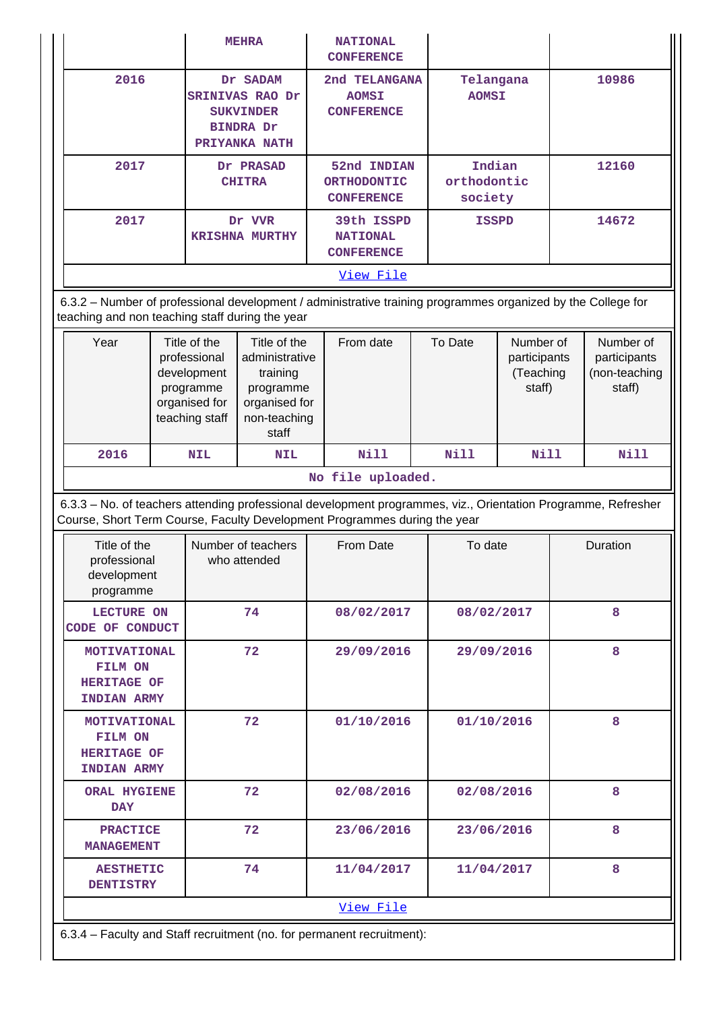|                                                                            |                                                                                             | <b>MEHRA</b>                                                                                      | <b>NATIONAL</b><br><b>CONFERENCE</b>                                                                                                                                                                            |  |                                  |                                                  |       |                                                      |
|----------------------------------------------------------------------------|---------------------------------------------------------------------------------------------|---------------------------------------------------------------------------------------------------|-----------------------------------------------------------------------------------------------------------------------------------------------------------------------------------------------------------------|--|----------------------------------|--------------------------------------------------|-------|------------------------------------------------------|
| 2016                                                                       | Dr SADAM<br>SRINIVAS RAO Dr<br><b>SUKVINDER</b><br><b>BINDRA Dr</b><br>PRIYANKA NATH        |                                                                                                   | 2nd TELANGANA<br><b>AOMSI</b><br><b>CONFERENCE</b>                                                                                                                                                              |  | Telangana<br><b>AOMSI</b>        |                                                  | 10986 |                                                      |
| 2017                                                                       | Dr PRASAD<br><b>CHITRA</b>                                                                  |                                                                                                   | 52nd INDIAN<br><b>ORTHODONTIC</b><br><b>CONFERENCE</b>                                                                                                                                                          |  | Indian<br>orthodontic<br>society |                                                  | 12160 |                                                      |
| 2017                                                                       |                                                                                             | Dr VVR<br><b>KRISHNA MURTHY</b>                                                                   | 39th ISSPD<br><b>NATIONAL</b><br><b>CONFERENCE</b>                                                                                                                                                              |  | <b>ISSPD</b>                     |                                                  |       | 14672                                                |
|                                                                            |                                                                                             |                                                                                                   | View File                                                                                                                                                                                                       |  |                                  |                                                  |       |                                                      |
| teaching and non teaching staff during the year                            |                                                                                             |                                                                                                   | 6.3.2 - Number of professional development / administrative training programmes organized by the College for                                                                                                    |  |                                  |                                                  |       |                                                      |
| Year                                                                       | Title of the<br>professional<br>development<br>programme<br>organised for<br>teaching staff | Title of the<br>administrative<br>training<br>programme<br>organised for<br>non-teaching<br>staff | From date                                                                                                                                                                                                       |  | To Date                          | Number of<br>participants<br>(Teaching<br>staff) |       | Number of<br>participants<br>(non-teaching<br>staff) |
| 2016                                                                       | <b>NIL</b>                                                                                  | <b>NIL</b>                                                                                        | <b>Nill</b>                                                                                                                                                                                                     |  | <b>Nill</b>                      | Nill                                             |       | <b>Nill</b>                                          |
|                                                                            |                                                                                             |                                                                                                   |                                                                                                                                                                                                                 |  |                                  |                                                  |       |                                                      |
|                                                                            |                                                                                             |                                                                                                   | No file uploaded.<br>6.3.3 - No. of teachers attending professional development programmes, viz., Orientation Programme, Refresher<br>Course, Short Term Course, Faculty Development Programmes during the year |  |                                  |                                                  |       |                                                      |
| Title of the<br>professional<br>development<br>programme                   |                                                                                             | Number of teachers<br>who attended                                                                | From Date                                                                                                                                                                                                       |  | To date                          |                                                  |       | Duration                                             |
| <b>LECTURE ON</b><br>CODE OF CONDUCT                                       |                                                                                             | 74                                                                                                | 08/02/2017                                                                                                                                                                                                      |  | 08/02/2017                       |                                                  |       | 8                                                    |
| <b>MOTIVATIONAL</b><br>FILM ON<br><b>HERITAGE OF</b><br><b>INDIAN ARMY</b> |                                                                                             | 72                                                                                                | 29/09/2016                                                                                                                                                                                                      |  | 29/09/2016                       |                                                  |       | 8                                                    |
| <b>MOTIVATIONAL</b><br>FILM ON<br><b>HERITAGE OF</b><br><b>INDIAN ARMY</b> |                                                                                             | 72                                                                                                | 01/10/2016                                                                                                                                                                                                      |  | 01/10/2016                       |                                                  |       | 8                                                    |
| <b>ORAL HYGIENE</b><br><b>DAY</b>                                          |                                                                                             | 72                                                                                                | 02/08/2016                                                                                                                                                                                                      |  | 02/08/2016                       |                                                  |       | 8                                                    |
| <b>PRACTICE</b><br><b>MANAGEMENT</b>                                       |                                                                                             | 72                                                                                                | 23/06/2016                                                                                                                                                                                                      |  | 23/06/2016                       |                                                  |       | 8                                                    |
| <b>AESTHETIC</b><br><b>DENTISTRY</b>                                       |                                                                                             | 74                                                                                                | 11/04/2017                                                                                                                                                                                                      |  | 11/04/2017                       |                                                  |       | 8                                                    |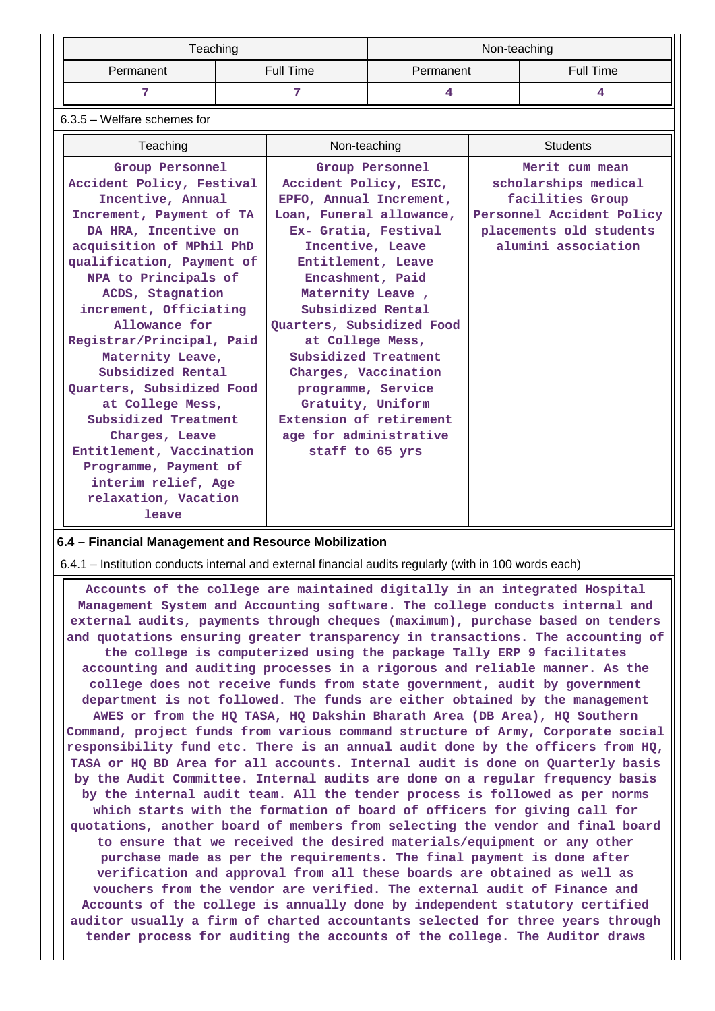|           | Teaching  | Non-teaching |           |  |  |
|-----------|-----------|--------------|-----------|--|--|
| Permanent | Full Time | Permanent    | Full Time |  |  |
|           |           |              |           |  |  |

#### 6.3.5 – Welfare schemes for

| Teaching                                                                                                                                                                                                                                                                                                               | Non-teaching                                                                                                                                                                                                                                                                                             | <b>Students</b>                                                                                                                           |
|------------------------------------------------------------------------------------------------------------------------------------------------------------------------------------------------------------------------------------------------------------------------------------------------------------------------|----------------------------------------------------------------------------------------------------------------------------------------------------------------------------------------------------------------------------------------------------------------------------------------------------------|-------------------------------------------------------------------------------------------------------------------------------------------|
| Group Personnel<br>Accident Policy, Festival<br>Incentive, Annual<br>Increment, Payment of TA<br>DA HRA, Incentive on<br>acquisition of MPhil PhD<br>qualification, Payment of<br>NPA to Principals of<br>ACDS, Stagnation<br>increment, Officiating<br>Allowance for<br>Registrar/Principal, Paid<br>Maternity Leave, | Group Personnel<br>Accident Policy, ESIC,<br>EPFO, Annual Increment,<br>Loan, Funeral allowance,<br>Ex- Gratia, Festival<br>Incentive, Leave<br>Entitlement, Leave<br>Encashment, Paid<br>Maternity Leave,<br>Subsidized Rental<br>Quarters, Subsidized Food<br>at College Mess,<br>Subsidized Treatment | Merit cum mean<br>scholarships medical<br>facilities Group<br>Personnel Accident Policy<br>placements old students<br>alumini association |
| Subsidized Rental<br>Quarters, Subsidized Food<br>at College Mess,<br>Subsidized Treatment<br>Charges, Leave<br>Entitlement, Vaccination<br>Programme, Payment of<br>interim relief, Age<br>relaxation, Vacation<br>leave                                                                                              | Charges, Vaccination<br>programme, Service<br>Gratuity, Uniform<br>Extension of retirement<br>age for administrative<br>staff to 65 yrs                                                                                                                                                                  |                                                                                                                                           |

#### **6.4 – Financial Management and Resource Mobilization**

6.4.1 – Institution conducts internal and external financial audits regularly (with in 100 words each)

 **Accounts of the college are maintained digitally in an integrated Hospital Management System and Accounting software. The college conducts internal and external audits, payments through cheques (maximum), purchase based on tenders and quotations ensuring greater transparency in transactions. The accounting of the college is computerized using the package Tally ERP 9 facilitates accounting and auditing processes in a rigorous and reliable manner. As the college does not receive funds from state government, audit by government department is not followed. The funds are either obtained by the management AWES or from the HQ TASA, HQ Dakshin Bharath Area (DB Area), HQ Southern Command, project funds from various command structure of Army, Corporate social responsibility fund etc. There is an annual audit done by the officers from HQ, TASA or HQ BD Area for all accounts. Internal audit is done on Quarterly basis by the Audit Committee. Internal audits are done on a regular frequency basis by the internal audit team. All the tender process is followed as per norms which starts with the formation of board of officers for giving call for quotations, another board of members from selecting the vendor and final board to ensure that we received the desired materials/equipment or any other purchase made as per the requirements. The final payment is done after verification and approval from all these boards are obtained as well as vouchers from the vendor are verified. The external audit of Finance and Accounts of the college is annually done by independent statutory certified auditor usually a firm of charted accountants selected for three years through tender process for auditing the accounts of the college. The Auditor draws**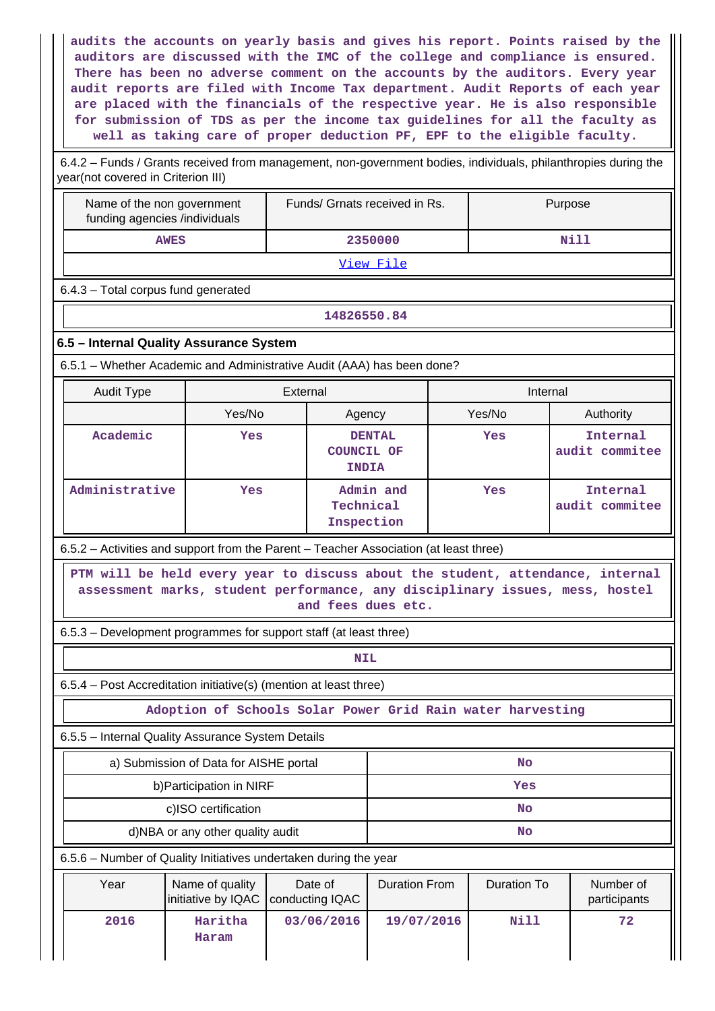**audits the accounts on yearly basis and gives his report. Points raised by the auditors are discussed with the IMC of the college and compliance is ensured. There has been no adverse comment on the accounts by the auditors. Every year audit reports are filed with Income Tax department. Audit Reports of each year are placed with the financials of the respective year. He is also responsible for submission of TDS as per the income tax guidelines for all the faculty as well as taking care of proper deduction PF, EPF to the eligible faculty.**

 6.4.2 – Funds / Grants received from management, non-government bodies, individuals, philanthropies during the year(not covered in Criterion III)

| year(not covered in Chienon in)                                                                                                                                                      |                                                             |          |                                                    |  |          |                            |
|--------------------------------------------------------------------------------------------------------------------------------------------------------------------------------------|-------------------------------------------------------------|----------|----------------------------------------------------|--|----------|----------------------------|
|                                                                                                                                                                                      | Name of the non government<br>funding agencies /individuals |          | Funds/ Grnats received in Rs.                      |  | Purpose  |                            |
| <b>AWES</b>                                                                                                                                                                          |                                                             |          | 2350000                                            |  |          | Nill                       |
|                                                                                                                                                                                      |                                                             |          | View File                                          |  |          |                            |
| 6.4.3 - Total corpus fund generated                                                                                                                                                  |                                                             |          |                                                    |  |          |                            |
|                                                                                                                                                                                      |                                                             |          | 14826550.84                                        |  |          |                            |
| 6.5 - Internal Quality Assurance System                                                                                                                                              |                                                             |          |                                                    |  |          |                            |
| 6.5.1 - Whether Academic and Administrative Audit (AAA) has been done?                                                                                                               |                                                             |          |                                                    |  |          |                            |
| Audit Type                                                                                                                                                                           |                                                             | External |                                                    |  | Internal |                            |
|                                                                                                                                                                                      | Yes/No                                                      |          | Agency                                             |  | Yes/No   | Authority                  |
| Academic                                                                                                                                                                             | Yes                                                         |          | <b>DENTAL</b><br><b>COUNCIL OF</b><br><b>INDIA</b> |  | Yes      | Internal<br>audit commitee |
| Administrative                                                                                                                                                                       | Yes                                                         |          | Admin and<br>Technical<br>Inspection               |  | Yes      | Internal<br>audit commitee |
| 6.5.2 – Activities and support from the Parent – Teacher Association (at least three)                                                                                                |                                                             |          |                                                    |  |          |                            |
| PTM will be held every year to discuss about the student, attendance, internal<br>assessment marks, student performance, any disciplinary issues, mess, hostel<br>and fees dues etc. |                                                             |          |                                                    |  |          |                            |
| 6.5.3 – Development programmes for support staff (at least three)                                                                                                                    |                                                             |          |                                                    |  |          |                            |
|                                                                                                                                                                                      |                                                             |          | <b>NIL</b>                                         |  |          |                            |
| 6.5.4 - Post Accreditation initiative(s) (mention at least three)                                                                                                                    |                                                             |          |                                                    |  |          |                            |

**Adoption of Schools Solar Power Grid Rain water harvesting**

6.5.5 – Internal Quality Assurance System Details

| a) Submission of Data for AISHE portal | No  |
|----------------------------------------|-----|
| b) Participation in NIRF               | Yes |
| c)ISO certification                    | No  |
| d)NBA or any other quality audit       | No  |

6.5.6 – Number of Quality Initiatives undertaken during the year

| Year | Name of quality<br>initiative by IQAC   conducting IQAC | Date of    | <b>Duration From</b> | Duration To | Number of<br>participants |
|------|---------------------------------------------------------|------------|----------------------|-------------|---------------------------|
| 2016 | Haritha<br>Haram                                        | 03/06/2016 | 19/07/2016           | Nill        | 72                        |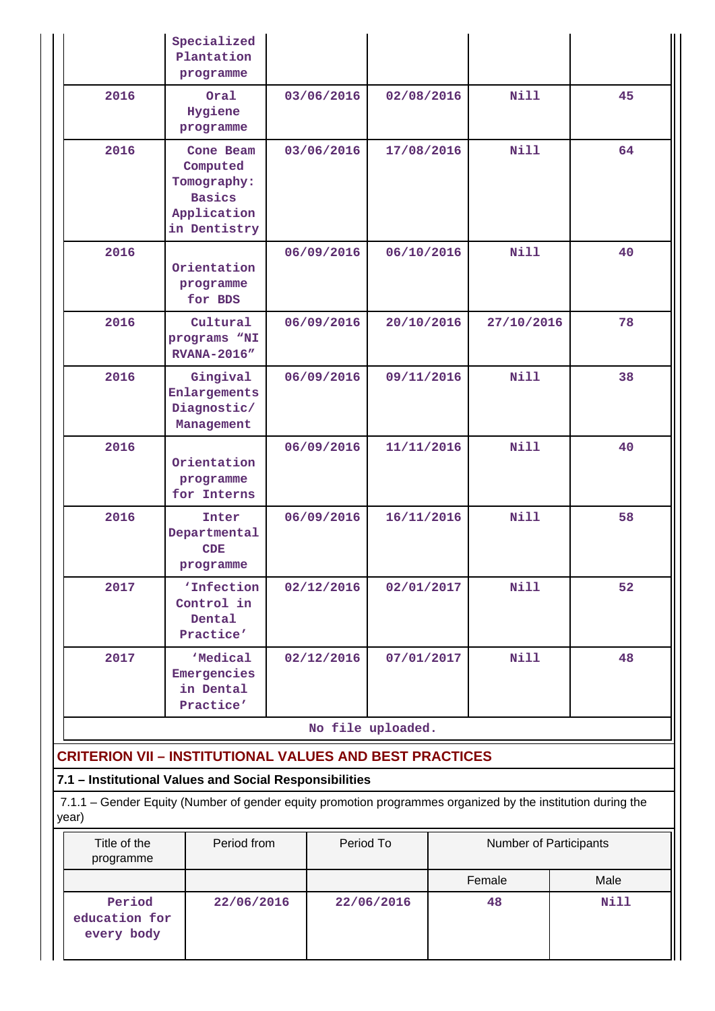|                                                                | Specialized<br>Plantation<br>programme                                                                      |                   |            |                        |      |
|----------------------------------------------------------------|-------------------------------------------------------------------------------------------------------------|-------------------|------------|------------------------|------|
| 2016                                                           | Oral<br>Hygiene<br>programme                                                                                | 03/06/2016        | 02/08/2016 | Nill                   | 45   |
| 2016                                                           | Cone Beam<br>Computed<br>Tomography:<br><b>Basics</b><br>Application<br>in Dentistry                        | 03/06/2016        | 17/08/2016 | <b>Nill</b>            | 64   |
| 2016                                                           | Orientation<br>programme<br>for BDS                                                                         | 06/09/2016        | 06/10/2016 | <b>Nill</b>            | 40   |
| 2016                                                           | Cultural<br>programs "NI<br><b>RVANA-2016"</b>                                                              | 06/09/2016        | 20/10/2016 | 27/10/2016             | 78   |
| 2016                                                           | Gingival<br>Enlargements<br>Diagnostic/<br>Management                                                       | 06/09/2016        | 09/11/2016 | <b>Nill</b>            | 38   |
| 2016                                                           | Orientation<br>programme<br>for Interns                                                                     | 06/09/2016        | 11/11/2016 | Nill                   | 40   |
| 2016                                                           | Inter<br>Departmental<br>CDE<br>programme                                                                   | 06/09/2016        | 16/11/2016 | <b>Nill</b>            | 58   |
| 2017                                                           | 'Infection<br>Control in<br>Dental<br>Practice'                                                             | 02/12/2016        | 02/01/2017 | <b>Nill</b>            | 52   |
| 2017                                                           | 'Medical<br>Emergencies<br>in Dental<br>Practice'                                                           | 02/12/2016        | 07/01/2017 | <b>Nill</b>            | 48   |
|                                                                |                                                                                                             | No file uploaded. |            |                        |      |
| <b>CRITERION VII - INSTITUTIONAL VALUES AND BEST PRACTICES</b> |                                                                                                             |                   |            |                        |      |
| 7.1 - Institutional Values and Social Responsibilities         |                                                                                                             |                   |            |                        |      |
| year)                                                          | 7.1.1 – Gender Equity (Number of gender equity promotion programmes organized by the institution during the |                   |            |                        |      |
| Title of the<br>programme                                      | Period from                                                                                                 | Period To         |            | Number of Participants |      |
|                                                                |                                                                                                             |                   |            | Female                 | Male |
| Period<br>education for<br>every body                          | 22/06/2016                                                                                                  |                   | 22/06/2016 | 48                     | Nill |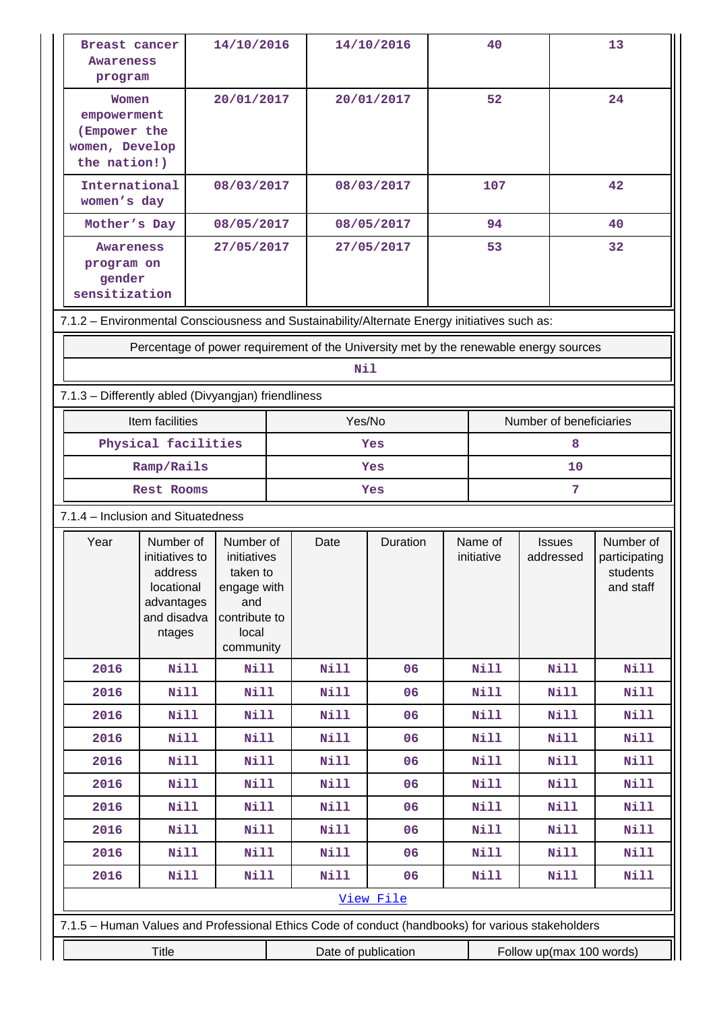| Awareness<br>program                                                   | Breast cancer                                                                                     | 14/10/2016                                                                                        |  | 14/10/2016  |            |                       | 40          |                            | 13                                                  |  |
|------------------------------------------------------------------------|---------------------------------------------------------------------------------------------------|---------------------------------------------------------------------------------------------------|--|-------------|------------|-----------------------|-------------|----------------------------|-----------------------------------------------------|--|
| Women<br>empowerment<br>(Empower the<br>women, Develop<br>the nation!) |                                                                                                   | 20/01/2017                                                                                        |  | 20/01/2017  |            |                       | 52          |                            | 24                                                  |  |
| International<br>women's day                                           |                                                                                                   | 08/03/2017                                                                                        |  |             | 08/03/2017 |                       | 107         |                            | 42                                                  |  |
| Mother's Day                                                           |                                                                                                   | 08/05/2017                                                                                        |  |             | 08/05/2017 |                       | 94          |                            | 40                                                  |  |
| <b>Awareness</b><br>program on<br>gender<br>sensitization              |                                                                                                   | 27/05/2017                                                                                        |  |             | 27/05/2017 | 53                    |             |                            | 32                                                  |  |
|                                                                        | 7.1.2 - Environmental Consciousness and Sustainability/Alternate Energy initiatives such as:      |                                                                                                   |  |             |            |                       |             |                            |                                                     |  |
|                                                                        | Percentage of power requirement of the University met by the renewable energy sources             |                                                                                                   |  |             |            |                       |             |                            |                                                     |  |
|                                                                        |                                                                                                   |                                                                                                   |  | Nil         |            |                       |             |                            |                                                     |  |
|                                                                        | 7.1.3 - Differently abled (Divyangjan) friendliness                                               |                                                                                                   |  |             |            |                       |             |                            |                                                     |  |
|                                                                        | Item facilities                                                                                   |                                                                                                   |  | Yes/No      |            |                       |             | Number of beneficiaries    |                                                     |  |
|                                                                        | Physical facilities                                                                               | 8<br>Yes                                                                                          |  |             |            |                       |             |                            |                                                     |  |
|                                                                        | Ramp/Rails                                                                                        | 10<br>Yes                                                                                         |  |             |            |                       |             |                            |                                                     |  |
|                                                                        | Rest Rooms                                                                                        |                                                                                                   |  |             | Yes        |                       |             | 7                          |                                                     |  |
|                                                                        | 7.1.4 - Inclusion and Situatedness                                                                |                                                                                                   |  |             |            |                       |             |                            |                                                     |  |
|                                                                        |                                                                                                   |                                                                                                   |  |             |            | Name of<br>initiative |             |                            |                                                     |  |
| Year                                                                   | Number of<br>initiatives to<br>address<br>locational<br>advantages<br>and disadva<br>ntages       | Number of<br>initiatives<br>taken to<br>engage with<br>and<br>contribute to<br>local<br>community |  | Date        | Duration   |                       |             | <b>Issues</b><br>addressed | Number of<br>participating<br>students<br>and staff |  |
| 2016                                                                   | Nill                                                                                              | Nill                                                                                              |  | <b>Nill</b> | 06         |                       | <b>Nill</b> | Nill                       | <b>Nill</b>                                         |  |
| 2016                                                                   | Nill                                                                                              | Nill                                                                                              |  | <b>Nill</b> | 06         |                       | <b>Nill</b> | Nill                       | <b>Nill</b>                                         |  |
| 2016                                                                   | Nill                                                                                              | <b>Nill</b>                                                                                       |  | Nill        | 06         |                       | <b>Nill</b> | Nill                       | <b>Nill</b>                                         |  |
| 2016                                                                   | <b>Nill</b>                                                                                       | Nill                                                                                              |  | Nill        | 06         |                       | <b>Nill</b> | Nill                       | <b>Nill</b>                                         |  |
| 2016                                                                   | $N$ ill                                                                                           | Nill                                                                                              |  | Nill        | 06         |                       | Nill        | Nill                       | <b>Nill</b>                                         |  |
| 2016                                                                   | Nill                                                                                              | Nill                                                                                              |  | <b>Nill</b> | 06         |                       | Nill        | Nill                       | <b>Nill</b>                                         |  |
| 2016                                                                   | <b>Nill</b>                                                                                       | Nill                                                                                              |  | Nill        | 06         |                       | Nill        | <b>Nill</b>                | <b>Nill</b>                                         |  |
| 2016                                                                   | Nill                                                                                              | Nill                                                                                              |  | Nill        | 06         |                       | Nill        | <b>Nill</b>                | <b>Nill</b>                                         |  |
| 2016                                                                   | <b>Nill</b>                                                                                       | Nill                                                                                              |  | Nill        | 06         |                       | Nill        | Nill                       | <b>Nill</b>                                         |  |
| 2016                                                                   | Nill                                                                                              | <b>Nill</b>                                                                                       |  | <b>Nill</b> | 06         |                       | Nill        | Nill                       | <b>Nill</b>                                         |  |
|                                                                        |                                                                                                   |                                                                                                   |  |             | View File  |                       |             |                            |                                                     |  |
|                                                                        | 7.1.5 - Human Values and Professional Ethics Code of conduct (handbooks) for various stakeholders |                                                                                                   |  |             |            |                       |             |                            |                                                     |  |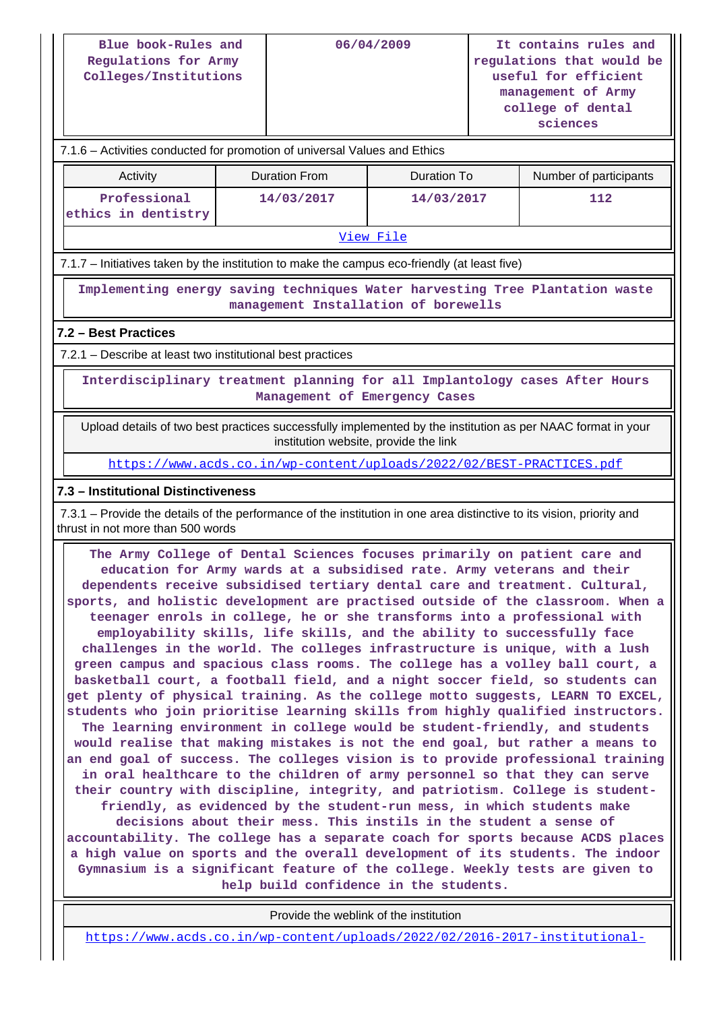| Blue book-Rules and<br>Regulations for Army<br>Colleges/Institutions | 06/04/2009 | It contains rules and<br>regulations that would be<br>useful for efficient<br>management of Army<br>college of dental |
|----------------------------------------------------------------------|------------|-----------------------------------------------------------------------------------------------------------------------|
|                                                                      |            | sciences                                                                                                              |

### 7.1.6 – Activities conducted for promotion of universal Values and Ethics

| Activity                            | Duration From | Duration To | Number of participants |
|-------------------------------------|---------------|-------------|------------------------|
| Professional<br>ethics in dentistry | 14/03/2017    | 14/03/2017  | 112                    |

#### [View File](https://assessmentonline.naac.gov.in/public/Postacc/promotion_activities/19458_promotion_activities_1645774956.xlsx)

7.1.7 – Initiatives taken by the institution to make the campus eco-friendly (at least five)

 **Implementing energy saving techniques Water harvesting Tree Plantation waste management Installation of borewells**

#### **7.2 – Best Practices**

7.2.1 – Describe at least two institutional best practices

 **Interdisciplinary treatment planning for all Implantology cases After Hours Management of Emergency Cases**

 Upload details of two best practices successfully implemented by the institution as per NAAC format in your institution website, provide the link

<https://www.acds.co.in/wp-content/uploads/2022/02/BEST-PRACTICES.pdf>

#### **7.3 – Institutional Distinctiveness**

 7.3.1 – Provide the details of the performance of the institution in one area distinctive to its vision, priority and thrust in not more than 500 words

 **The Army College of Dental Sciences focuses primarily on patient care and education for Army wards at a subsidised rate. Army veterans and their dependents receive subsidised tertiary dental care and treatment. Cultural, sports, and holistic development are practised outside of the classroom. When a teenager enrols in college, he or she transforms into a professional with employability skills, life skills, and the ability to successfully face challenges in the world. The colleges infrastructure is unique, with a lush green campus and spacious class rooms. The college has a volley ball court, a basketball court, a football field, and a night soccer field, so students can get plenty of physical training. As the college motto suggests, LEARN TO EXCEL, students who join prioritise learning skills from highly qualified instructors. The learning environment in college would be student-friendly, and students would realise that making mistakes is not the end goal, but rather a means to an end goal of success. The colleges vision is to provide professional training in oral healthcare to the children of army personnel so that they can serve their country with discipline, integrity, and patriotism. College is studentfriendly, as evidenced by the student-run mess, in which students make decisions about their mess. This instils in the student a sense of accountability. The college has a separate coach for sports because ACDS places a high value on sports and the overall development of its students. The indoor Gymnasium is a significant feature of the college. Weekly tests are given to help build confidence in the students.**

Provide the weblink of the institution

[https://www.acds.co.in/wp-content/uploads/2022/02/2016-2017-institutional-](https://www.acds.co.in/wp-content/uploads/2022/02/2016-2017-institutional-distinvtiveness.pdf)